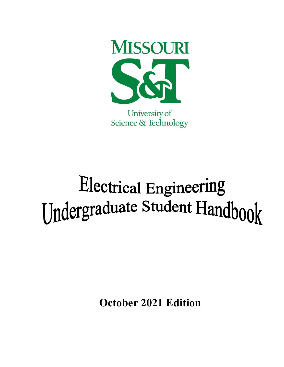

Science & Technology

# Electrical Engineering **[Jndergraduate Student Handbook**

**October 2021 Edition**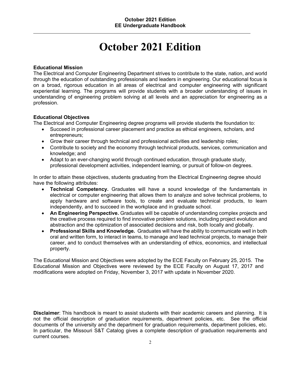# **October 2021 Edition**

#### **Educational Mission**

The Electrical and Computer Engineering Department strives to contribute to the state, nation, and world through the education of outstanding professionals and leaders in engineering. Our educational focus is on a broad, rigorous education in all areas of electrical and computer engineering with significant experiential learning. The programs will provide students with a broader understanding of issues in understanding of engineering problem solving at all levels and an appreciation for engineering as a profession.

#### **Educational Objectives**

The Electrical and Computer Engineering degree programs will provide students the foundation to:

- Succeed in professional career placement and practice as ethical engineers, scholars, and entrepreneurs;
- Grow their career through technical and professional activities and leadership roles;
- Contribute to society and the economy through technical products, services, communication and knowledge; and
- Adapt to an ever-changing world through continued education, through graduate study, professional development activities, independent learning, or pursuit of follow-on degrees.

In order to attain these objectives, students graduating from the Electrical Engineering degree should have the following attributes:

- **Technical Competency.** Graduates will have a sound knowledge of the fundamentals in electrical or computer engineering that allows them to analyze and solve technical problems, to apply hardware and software tools, to create and evaluate technical products, to learn independently, and to succeed in the workplace and in graduate school.
- **An Engineering Perspective.** Graduates will be capable of understanding complex projects and the creative process required to find innovative problem solutions, including project evolution and abstraction and the optimization of associated decisions and risk, both locally and globally.
- **Professional Skills and Knowledge.** Graduates will have the ability to communicate well in both oral and written form, to interact in teams, to manage and lead technical projects, to manage their career, and to conduct themselves with an understanding of ethics, economics, and intellectual property.

The Educational Mission and Objectives were adopted by the ECE Faculty on February 25, 2015. The Educational Mission and Objectives were reviewed by the ECE Faculty on August 17, 2017 and modifications were adopted on Friday, November 3, 2017 with update in November 2020.

**Disclaimer**: This handbook is meant to assist students with their academic careers and planning. It is not the official description of graduation requirements, department policies, etc. See the official documents of the university and the department for graduation requirements, department policies, etc. In particular, the Missouri S&T Catalog gives a complete description of graduation requirements and current courses.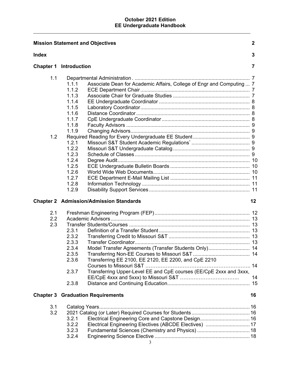|                   | <b>Mission Statement and Objectives</b>                                                                                                                                                                                                                     | $\mathbf{2}$ |
|-------------------|-------------------------------------------------------------------------------------------------------------------------------------------------------------------------------------------------------------------------------------------------------------|--------------|
| <b>Index</b>      |                                                                                                                                                                                                                                                             | 3            |
|                   | <b>Chapter 1 Introduction</b>                                                                                                                                                                                                                               | 7            |
| 1.1<br>1.2        | Associate Dean for Academic Affairs, College of Engr and Computing  7<br>1.1.1<br>1.1.2<br>1.1.3<br>1.1.4<br>1.1.5<br>1.1.6<br>1.1.7<br>1.1.8<br>1.1.9<br>1.2.1<br>1.2.2<br>1.2.3<br>1.2.4<br>1.2.5<br>1.2.6<br>1.2.7<br>1.2.8<br>1.2.9                     |              |
|                   | <b>Chapter 2 Admission/Admission Standards</b>                                                                                                                                                                                                              | 12           |
| 2.1<br>2.2<br>2.3 | 2.3.1<br>2.3.2<br>2.3.3<br>Model Transfer Agreements (Transfer Students Only) 14<br>2.3.4<br>2.3.5<br>Transferring EE 2100, EE 2120, EE 2200, and CpE 2210<br>2.3.6<br>Transferring Upper-Level EE and CpE courses (EE/CpE 2xxx and 3xxx,<br>2.3.7<br>2.3.8 | 14           |
|                   | <b>Chapter 3 Graduation Requirements</b>                                                                                                                                                                                                                    | 16           |
| 3.1<br>3.2        | 3.2.1<br>3.2.2<br>Electrical Engineering Electives (ABCDE Electives)  17<br>3.2.3<br>3.2.4                                                                                                                                                                  |              |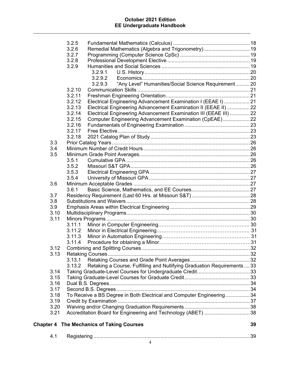|      | 3.2.5          |                                                                          |    |
|------|----------------|--------------------------------------------------------------------------|----|
|      | 3.2.6          | Remedial Mathematics (Algebra and Trigonometry)  19                      |    |
|      | 3.2.7          |                                                                          |    |
|      | 3.2.8          |                                                                          |    |
|      | 3.2.9          |                                                                          |    |
|      |                | 3.2.9.1                                                                  |    |
|      |                | 3.2.9.2                                                                  |    |
|      |                | "Any Level" Humanities/Social Science Requirement 20<br>3.2.9.3          |    |
|      | 3.2.10         |                                                                          |    |
|      | 3.2.11         |                                                                          |    |
|      | 3.2.12         | Electrical Engineering Advancement Examination I (EEAE I)  21            |    |
|      | 3.2.13         | Electrical Engineering Advancement Examination II (EEAE II)  22          |    |
|      | 3.2.14         | Electrical Engineering Advancement Examination III (EEAE III)  22        |    |
|      | 3.2.15         | Computer Engineering Advancement Examination (CpEAE) 22                  |    |
|      | 3.2.16         |                                                                          |    |
|      | 3.2.17         |                                                                          |    |
|      | 3.2.18         |                                                                          |    |
| 3.3  |                |                                                                          |    |
| 3.4  |                |                                                                          |    |
| 3.5  |                |                                                                          |    |
|      | 3.5.1          |                                                                          |    |
|      | 3.5.2<br>3.5.3 |                                                                          |    |
|      | 3.5.4          |                                                                          |    |
| 3.6  |                |                                                                          |    |
|      | 3.6.1          |                                                                          |    |
| 3.7  |                |                                                                          |    |
| 3.8  |                |                                                                          |    |
| 3.9  |                |                                                                          |    |
| 3.10 |                |                                                                          |    |
| 3.11 |                |                                                                          |    |
|      | 3.11.1         |                                                                          |    |
|      | 3.11.2         |                                                                          |    |
|      | 3.11.3         |                                                                          |    |
|      | 3.11.4         |                                                                          |    |
| 3.12 |                |                                                                          |    |
| 3.13 |                |                                                                          |    |
|      | 3.13.1         |                                                                          |    |
|      | 3.13.2         | Retaking a Course, Fulfilling and Nullifying Graduation Requirements  33 |    |
| 3.14 |                |                                                                          |    |
| 3.15 |                |                                                                          |    |
| 3.16 |                |                                                                          |    |
| 3.17 |                |                                                                          |    |
| 3.18 |                | To Receive a BS Degree in Both Electrical and Computer Engineering34     |    |
| 3.19 |                |                                                                          |    |
| 3.20 |                |                                                                          |    |
| 3.21 |                |                                                                          |    |
|      |                | <b>Chapter 4 The Mechanics of Taking Courses</b>                         | 39 |
|      |                |                                                                          |    |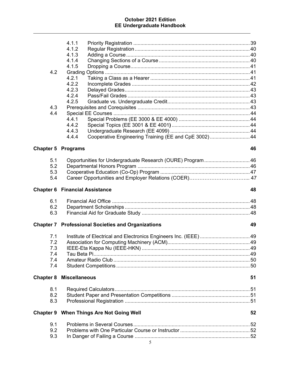| 4.2<br>4.3<br>4.4         | 4.1.1<br>4.1.2<br>4.1.3<br>4.1.4<br>4.1.5<br>Grading<br>4.2.1<br>4.2.2<br>4.2.3<br>4.2.4<br>4.2.5<br>4.4.1<br>4.4.2<br>4.4.3<br>Cooperative Engineering Training (EE and CpE 3002) 44<br>4.4.4 |    |
|---------------------------|------------------------------------------------------------------------------------------------------------------------------------------------------------------------------------------------|----|
| <b>Chapter 5 Programs</b> |                                                                                                                                                                                                | 46 |
| 5.1                       | Opportunities for Undergraduate Research (OURE) Program 46                                                                                                                                     |    |
| 5.2                       |                                                                                                                                                                                                |    |
| 5.3                       |                                                                                                                                                                                                |    |
| 5.4                       |                                                                                                                                                                                                |    |
|                           |                                                                                                                                                                                                |    |
|                           | <b>Chapter 6 Financial Assistance</b>                                                                                                                                                          | 48 |
| 6.1                       |                                                                                                                                                                                                |    |
| 6.2                       |                                                                                                                                                                                                |    |
| 6.3                       |                                                                                                                                                                                                |    |
|                           |                                                                                                                                                                                                |    |
|                           | <b>Chapter 7 Professional Societies and Organizations</b>                                                                                                                                      | 49 |
| 7.1                       |                                                                                                                                                                                                |    |
| 7.2                       |                                                                                                                                                                                                |    |
| 7.3                       |                                                                                                                                                                                                |    |
| 7.4                       |                                                                                                                                                                                                |    |
| 7.4                       |                                                                                                                                                                                                |    |
| 7.4                       |                                                                                                                                                                                                |    |
|                           | <b>Chapter 8 Miscellaneous</b>                                                                                                                                                                 | 51 |
| 8.1                       |                                                                                                                                                                                                |    |
| 8.2                       |                                                                                                                                                                                                |    |
| 8.3                       |                                                                                                                                                                                                |    |
|                           |                                                                                                                                                                                                |    |
|                           | <b>Chapter 9 When Things Are Not Going Well</b>                                                                                                                                                | 52 |
| 9.1                       |                                                                                                                                                                                                |    |
| 9.2                       |                                                                                                                                                                                                |    |
| 9.3                       |                                                                                                                                                                                                |    |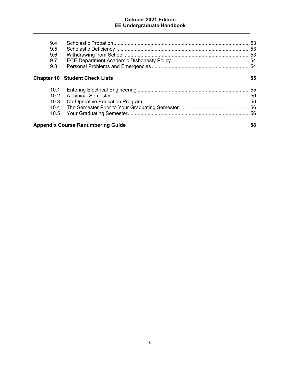| 9.4<br>9.5<br>9.6<br>9.7<br>9.8          |                                       |    |
|------------------------------------------|---------------------------------------|----|
|                                          | <b>Chapter 10 Student Check Lists</b> | 55 |
| 10.1                                     |                                       |    |
| 10.2                                     |                                       |    |
| 10.3                                     |                                       |    |
| 10.4                                     |                                       |    |
| 10.5                                     |                                       |    |
| <b>Appendix Course Renumbering Guide</b> | 58                                    |    |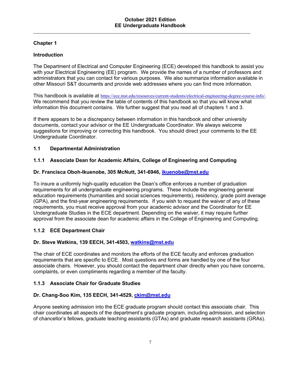# **Chapter 1**

# **Introduction**

The Department of Electrical and Computer Engineering (ECE) developed this handbook to assist you with your Electrical Engineering (EE) program. We provide the names of a number of professors and administrators that you can contact for various purposes. We also summarize information available in other Missouri S&T documents and provide web addresses where you can find more information.

This handbook is available at https://ece.mst.edu/resources/current-students/electrical-engineering-degree-course-info/. We recommend that you review the table of contents of this handbook so that you will know what information this document contains. We further suggest that you read all of chapters 1 and 3.

If there appears to be a discrepancy between information in this handbook and other university documents, contact your advisor or the EE Undergraduate Coordinator. We always welcome suggestions for improving or correcting this handbook. You should direct your comments to the EE Undergraduate Coordinator.

# **1.1 Departmental Administration**

# **1.1.1 Associate Dean for Academic Affairs, College of Engineering and Computing**

#### **Dr. Francisca Oboh-Ikuenobe, 305 McNutt, 341-6946, ikuenobe@mst.edu**

To insure a uniformly high-quality education the Dean's office enforces a number of graduation requirements for all undergraduate engineering programs. These include the engineering general education requirements (humanities and social sciences requirements), residency, grade point average (GPA), and the first-year engineering requirements. If you wish to request the waiver of any of these requirements, you must receive approval from your academic advisor and the Coordinator for EE Undergraduate Studies in the ECE department. Depending on the waiver, it may require further approval from the associate dean for academic affairs in the College of Engineering and Computing.

# **1.1.2 ECE Department Chair**

#### **Dr. Steve Watkins, 139 EECH, 341-4503, watkins@mst.edu**

The chair of ECE coordinates and monitors the efforts of the ECE faculty and enforces graduation requirements that are specific to ECE. Most questions and forms are handled by one of the four associate chairs. However, you should contact the department chair directly when you have concerns, complaints, or even compliments regarding a member of the faculty.

#### **1.1.3 Associate Chair for Graduate Studies**

#### **Dr. Chang-Soo Kim, 135 EECH, 341-4529, ckim@mst.edu**

Anyone seeking admission into the ECE graduate program should contact this associate chair. This chair coordinates all aspects of the department's graduate program, including admission, and selection of chancellor's fellows, graduate teaching assistants (GTAs) and graduate research assistants (GRAs).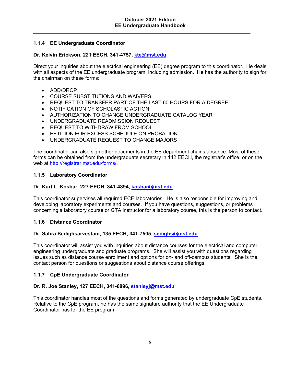# **1.1.4 EE Undergraduate Coordinator**

# **Dr. Kelvin Erickson, 221 EECH, 341-4757, kte@mst.edu**

Direct your inquiries about the electrical engineering (EE) degree program to this coordinator. He deals with all aspects of the EE undergraduate program, including admission. He has the authority to sign for the chairman on these forms:

- ADD/DROP
- COURSE SUBSTITUTIONS AND WAIVERS
- REQUEST TO TRANSFER PART OF THE LAST 60 HOURS FOR A DEGREE
- NOTIFICATION OF SCHOLASTIC ACTION
- AUTHORIZATION TO CHANGE UNDERGRADUATE CATALOG YEAR
- UNDERGRADUATE READMISSION REQUEST
- REQUEST TO WITHDRAW FROM SCHOOL
- PETITION FOR EXCESS SCHEDULE ON PROBATION
- UNDERGRADUATE REQUEST TO CHANGE MAJORS

The coordinator can also sign other documents in the EE department chair's absence. Most of these forms can be obtained from the undergraduate secretary in 142 EECH, the registrar's office, or on the web at http://registrar.mst.edu/forms/.

#### **1.1.5 Laboratory Coordinator**

#### **Dr. Kurt L. Kosbar, 227 EECH, 341-4894, kosbar@mst.edu**

This coordinator supervises all required ECE laboratories. He is also responsible for improving and developing laboratory experiments and courses. If you have questions, suggestions, or problems concerning a laboratory course or GTA instructor for a laboratory course, this is the person to contact.

#### **1.1.6 Distance Coordinator**

#### **Dr. Sahra Sedighsarvestani, 135 EECH, 341-7505, sedighs@mst.edu**

This coordinator will assist you with inquiries about distance courses for the electrical and computer engineering undergraduate and graduate programs. She will assist you with questions regarding issues such as distance course enrollment and options for on- and off-campus students. She is the contact person for questions or suggestions about distance course offerings.

#### **1.1.7 CpE Undergraduate Coordinator**

#### **Dr. R. Joe Stanley, 127 EECH, 341-6896, stanleyj@mst.edu**

This coordinator handles most of the questions and forms generated by undergraduate CpE students. Relative to the CpE program, he has the same signature authority that the EE Undergraduate Coordinator has for the EE program.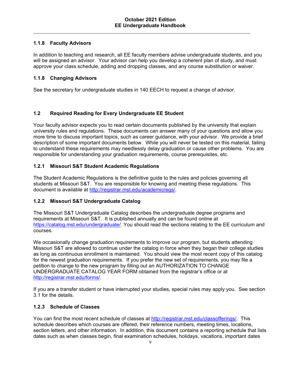# **1.1.8 Faculty Advisors**

In addition to teaching and research, all EE faculty members advise undergraduate students, and you will be assigned an advisor. Your advisor can help you develop a coherent plan of study, and must approve your class schedule, adding and dropping classes, and any course substitution or waiver.

# **1.1.8 Changing Advisors**

See the secretary for undergraduate studies in 140 EECH to request a change of advisor*.* 

# **1.2 Required Reading for Every Undergraduate EE Student**

Your faculty advisor expects you to read certain documents published by the university that explain university rules and regulations. These documents can answer many of your questions and allow you more time to discuss important topics, such as career guidance, with your advisor. We provide a brief description of some important documents below. While you will never be tested on this material, failing to understand these requirements may needlessly delay graduation or cause other problems. You are responsible for understanding your graduation requirements, course prerequisites, etc.

# **1.2.1 Missouri S&T Student Academic Regulations**

The Student Academic Regulations is the definitive guide to the rules and policies governing all students at Missouri S&T. You are responsible for knowing and meeting these regulations. This document is available at http://registrar.mst.edu/academicregs/.

#### **1.2.2 Missouri S&T Undergraduate Catalog**

The Missouri S&T Undergraduate Catalog describes the undergraduate degree programs and requirements at Missouri S&T. It is published annually and can be found online at https://catalog.mst.edu/undergraduate/. You should read the sections relating to the EE curriculum and courses.

We occasionally change graduation requirements to improve our program, but students attending Missouri S&T are allowed to continue under the catalog in force when they began their college studies as long as continuous enrollment is maintained. You should view the most recent copy of this catalog for the newest graduation requirements. If you prefer the new set of requirements, you may file a petition to change to the new program by filling out an AUTHORIZATION TO CHANGE UNDERGRADUATE CATALOG YEAR FORM obtained from the registrar's office or at http://registrar.mst.edu/forms/.

If you are a transfer student or have interrupted your studies, special rules may apply you. See section 3.1 for the details.

#### **1.2.3 Schedule of Classes**

You can find the most recent schedule of classes at http://registrar.mst.edu/classofferings/. This schedule describes which courses are offered, their reference numbers, meeting times, locations, section letters, and other information. In addition, this document contains a reporting schedule that lists dates such as when classes begin, final examination schedules, holidays, vacations, important dates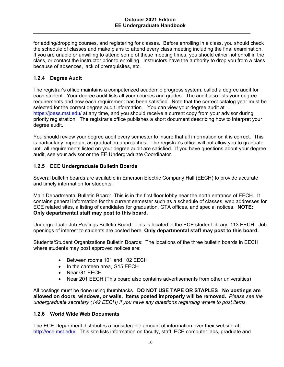for adding/dropping courses, and registering for classes. Before enrolling in a class, you should check the schedule of classes and make plans to attend every class meeting including the final examination. If you are unable or unwilling to attend some of these meeting times, you should either not enroll in the class, or contact the instructor prior to enrolling. Instructors have the authority to drop you from a class because of absences, lack of prerequisites, etc.

# **1.2.4 Degree Audit**

The registrar's office maintains a computerized academic progress system, called a degree audit for each student. Your degree audit lists all your courses and grades. The audit also lists your degree requirements and how each requirement has been satisfied. Note that the correct catalog year must be selected for the correct degree audit information. You can view your degree audit at https://joess.mst.edu/ at any time, and you should receive a current copy from your advisor during priority registration. The registrar's office publishes a short document describing how to interpret your degree audit.

You should review your degree audit every semester to insure that all information on it is correct. This is particularly important as graduation approaches. The registrar's office will not allow you to graduate until all requirements listed on your degree audit are satisfied. If you have questions about your degree audit, see your advisor or the EE Undergraduate Coordinator.

# **1.2.5 ECE Undergraduate Bulletin Boards**

Several bulletin boards are available in Emerson Electric Company Hall (EECH) to provide accurate and timely information for students.

Main Departmental Bulletin Board: This is in the first floor lobby near the north entrance of EECH. It contains general information for the current semester such as a schedule of classes, web addresses for ECE related sites, a listing of candidates for graduation, GTA offices, and special notices. **NOTE: Only departmental staff may post to this board.**

Undergraduate Job Postings Bulletin Board: This is located in the ECE student library, 113 EECH. Job openings of interest to students are posted here. **Only departmental staff may post to this board.**

Students/Student Organizations Bulletin Boards: The locations of the three bulletin boards in EECH where students may post approved notices are:

- Between rooms 101 and 102 EECH
- In the canteen area, G15 EECH
- Near G1 EECH
- Near 201 EECH (This board also contains advertisements from other universities)

All postings must be done using thumbtacks. **DO NOT USE TAPE OR STAPLES**. **No postings are allowed on doors, windows, or walls. Items posted improperly will be removed.** *Please see the undergraduate secretary (142 EECH) if you have any questions regarding where to post items.* 

# **1.2.6 World Wide Web Documents**

The ECE Department distributes a considerable amount of information over their website at http://ece.mst.edu/. This site lists information on faculty, staff, ECE computer labs, graduate and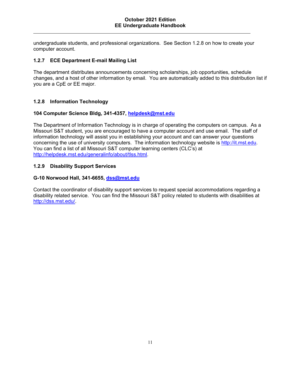undergraduate students, and professional organizations. See Section 1.2.8 on how to create your computer account.

#### **1.2.7 ECE Department E-mail Mailing List**

The department distributes announcements concerning scholarships, job opportunities, schedule changes, and a host of other information by email. You are automatically added to this distribution list if you are a CpE or EE major.

#### **1.2.8 Information Technology**

#### **104 Computer Science Bldg, 341-4357, helpdesk@mst.edu**

The Department of Information Technology is in charge of operating the computers on campus. As a Missouri S&T student, you are encouraged to have a computer account and use email. The staff of information technology will assist you in establishing your account and can answer your questions concerning the use of university computers. The information technology website is http://it.mst.edu. You can find a list of all Missouri S&T computer learning centers (CLC's) at http://helpdesk.mst.edu/generalinfo/about/tlss.html.

#### **1.2.9 Disability Support Services**

#### **G-10 Norwood Hall, 341-6655, dss@mst.edu**

Contact the coordinator of disability support services to request special accommodations regarding a disability related service. You can find the Missouri S&T policy related to students with disabilities at http://dss.mst.edu/.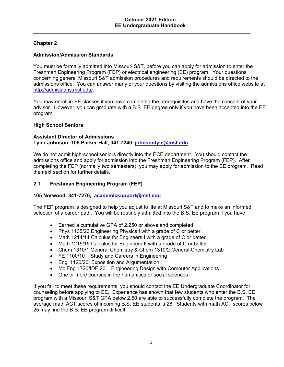# **Chapter 2**

# **Admission/Admission Standards**

You must be formally admitted into Missouri S&T, before you can apply for admission to enter the Freshman Engineering Program (FEP) or electrical engineering (EE) program. Your questions concerning general Missouri S&T admission procedures and requirements should be directed to the admissions office. You can answer many of your questions by visiting the admissions office website at http://admissions.mst.edu/.

You may enroll in EE classes if you have completed the prerequisites and have the consent of your advisor. However, you can graduate with a B.S. EE degree only if you have been accepted into the EE program.

#### **High School Seniors**

#### **Assistant Director of Admissions Tyler Johnson, 106 Parker Hall, 341-7240, johnsontyle@mst.edu**

We do not admit high-school seniors directly into the ECE department. You should contact the admissions office and apply for admission into the Freshman Engineering Program (FEP). After completing the FEP (normally two semesters), you may apply for admission to the EE program. Read the next section for further details.

#### **2.1 Freshman Engineering Program (FEP)**

#### **105 Norwood, 341-7276, academicsupport@mst.edu**

The FEP program is designed to help you adjust to life at Missouri S&T and to make an informed selection of a career path. You will be routinely admitted into the B.S. EE program if you have

- Earned a cumulative GPA of 2.250 or above and completed
- Phys 1135/23 Engineering Physics I with a grade of C or better
- Math 1214/14 Calculus for Engineers I with a grade of C or better
- Math 1215/15 Calculus for Engineers II with a grade of C or better
- Chem 1310/1 General Chemistry & Chem 1319/2 General Chemistry Lab
- FE 1100/10 Study and Careers in Engineering
- Engl 1120/20 Exposition and Argumentation
- Mc Eng 1720/IDE 20 Engineering Design with Computer Applications
- One or more courses in the humanities or social sciences

If you fail to meet these requirements, you should contact the EE Undergraduate Coordinator for counseling before applying to EE. Experience has shown that few students who enter the B.S. EE program with a Missouri S&T GPA below 2.50 are able to successfully complete the program. The average math ACT scores of incoming B.S. EE students is 28. Students with math ACT scores below 25 may find the B.S. EE program difficult.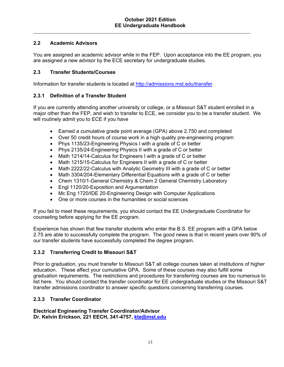# **2.2 Academic Advisors**

You are assigned an academic advisor while in the FEP. Upon acceptance into the EE program, you are assigned a new advisor by the ECE secretary for undergraduate studies.

# **2.3 Transfer Students/Courses**

Information for transfer students is located at http://admissions.mst.edu/transfer.

# **2.3.1 Definition of a Transfer Student**

If you are currently attending another university or college, or a Missouri S&T student enrolled in a major other than the FEP, and wish to transfer to ECE, we consider you to be a transfer student. We will routinely admit you to ECE if you have

- Earned a cumulative grade point average (GPA) above 2.750 and completed
- Over 50 credit hours of course work in a high quality pre-engineering program
- Phys 1135/23-Engineering Physics I with a grade of C or better
- Phys 2135/24-Engineering Physics II with a grade of C or better
- Math 1214/14-Calculus for Engineers I with a grade of C or better
- Math 1215/15-Calculus for Engineers II with a grade of C or better
- Math 2222/22-Calculus with Analytic Geometry III with a grade of C or better
- Math 3304/204-Elementary Differential Equations with a grade of C or better
- Chem 1310/1-General Chemistry & Chem 2 General Chemistry Laboratory
- Engl 1120/20-Exposition and Argumentation
- Mc Eng 1720/IDE 20-Engineering Design with Computer Applications
- One or more courses in the humanities or social sciences

If you fail to meet these requirements, you should contact the EE Undergraduate Coordinator for counseling before applying for the EE program.

Experience has shown that few transfer students who enter the B.S. EE program with a GPA below 2.75 are able to successfully complete the program. The good news is that in recent years over 90% of our transfer students have successfully completed the degree program.

#### **2.3.2 Transferring Credit to Missouri S&T**

Prior to graduation, you must transfer to Missouri S&T all college courses taken at institutions of higher education. These affect your cumulative GPA. Some of these courses may also fulfill some graduation requirements. The restrictions and procedures for transferring courses are too numerous to list here. You should contact the transfer coordinator for EE undergraduate studies or the Missouri S&T transfer admissions coordinator to answer specific questions concerning transferring courses.

#### **2.3.3 Transfer Coordinator**

**Electrical Engineering Transfer Coordinator/Advisor Dr. Kelvin Erickson, 221 EECH, 341-4757, kte@mst.edu**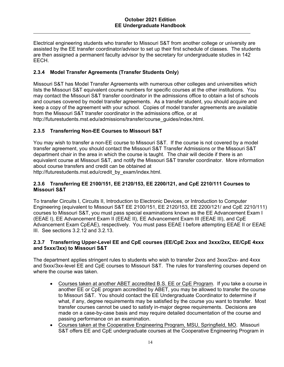Electrical engineering students who transfer to Missouri S&T from another college or university are assisted by the EE transfer coordinator/advisor to set up their first schedule of classes. The students are then assigned a permanent faculty advisor by the secretary for undergraduate studies in 142 EECH.

# **2.3.4 Model Transfer Agreements (Transfer Students Only)**

Missouri S&T has Model Transfer Agreements with numerous other colleges and universities which lists the Missouri S&T equivalent course numbers for specific courses at the other institutions. You may contact the Missouri S&T transfer coordinator in the admissions office to obtain a list of schools and courses covered by model transfer agreements. As a transfer student, you should acquire and keep a copy of the agreement with your school. Copies of model transfer agreements are available from the Missouri S&T transfer coordinator in the admissions office, or at http://futurestudents.mst.edu/admissions/transfer/course\_guides/index.html.

# **2.3.5 Transferring Non-EE Courses to Missouri S&T**

You may wish to transfer a non-EE course to Missouri S&T. If the course is not covered by a model transfer agreement, you should contact the Missouri S&T Transfer Admissions or the Missouri S&T department chair in the area in which the course is taught. The chair will decide if there is an equivalent course at Missouri S&T, and notify the Missouri S&T transfer coordinator. More information about course transfers and credit can be obtained at

http://futurestudents.mst.edu/credit\_by\_exam/index.html.

# **2.3.6 Transferring EE 2100/151, EE 2120/153, EE 2200/121, and CpE 2210/111 Courses to Missouri S&T**

To transfer Circuits I, Circuits II, Introduction to Electronic Devices, or Introduction to Computer Engineering (equivalent to Missouri S&T EE 2100/151, EE 2120/153, EE 2200/121/ and CpE 2210/111) courses to Missouri S&T, you must pass special examinations known as the EE Advancement Exam I (EEAE I), EE Advancement Exam II (EEAE II), EE Advancement Exam III (EEAE III), and CpE Advancement Exam CpEAE), respectively. You must pass EEAE I before attempting EEAE II or EEAE III. See sections 3.2.12 and 3.2.13.

#### **2.3.7 Transferring Upper-Level EE and CpE courses (EE/CpE 2xxx and 3xxx/2xx, EE/CpE 4xxx and 5xxx/3xx) to Missouri S&T**

The department applies stringent rules to students who wish to transfer 2xxx and 3xxx/2xx- and 4xxx and 5xxx/3xx-level EE and CpE courses to Missouri S&T. The rules for transferring courses depend on where the course was taken.

- Courses taken at another ABET accredited B.S. EE or CpE Program. If you take a course in another EE or CpE program accredited by ABET, you may be allowed to transfer the course to Missouri S&T. You should contact the EE Undergraduate Coordinator to determine if what, if any, degree requirements may be satisfied by the course you want to transfer. Most transfer courses cannot be used to satisfy in-major degree requirements. Decisions are made on a case-by-case basis and may require detailed documentation of the course and passing performance on an examination.
- Courses taken at the Cooperative Engineering Program, MSU, Springfield, MO. Missouri S&T offers EE and CpE undergraduate courses at the Cooperative Engineering Program in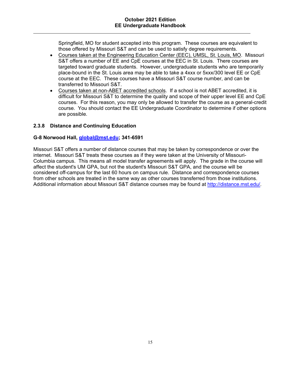Springfield, MO for student accepted into this program. These courses are equivalent to those offered by Missouri S&T and can be used to satisfy degree requirements.

- Courses taken at the Engineering Education Center (EEC), UMSL, St. Louis, MO. Missouri S&T offers a number of EE and CpE courses at the EEC in St. Louis. There courses are targeted toward graduate students. However, undergraduate students who are temporarily place-bound in the St. Louis area may be able to take a 4xxx or 5xxx/300 level EE or CpE course at the EEC. These courses have a Missouri S&T course number, and can be transferred to Missouri S&T.
- Courses taken at non-ABET accredited schools. If a school is not ABET accredited, it is difficult for Missouri S&T to determine the quality and scope of their upper level EE and CpE courses. For this reason, you may only be allowed to transfer the course as a general-credit course. You should contact the EE Undergraduate Coordinator to determine if other options are possible.

#### **2.3.8 Distance and Continuing Education**

#### **G-8 Norwood Hall, global@mst.edu; 341-6591**

Missouri S&T offers a number of distance courses that may be taken by correspondence or over the internet. Missouri S&T treats these courses as if they were taken at the University of Missouri-Columbia campus. This means all model transfer agreements will apply. The grade in the course will affect the student's UM GPA, but not the student's Missouri S&T GPA, and the course will be considered off-campus for the last 60 hours on campus rule. Distance and correspondence courses from other schools are treated in the same way as other courses transferred from those institutions. Additional information about Missouri S&T distance courses may be found at http://distance.mst.edu/.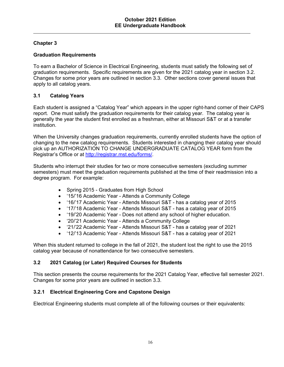# **Chapter 3**

# **Graduation Requirements**

To earn a Bachelor of Science in Electrical Engineering, students must satisfy the following set of graduation requirements. Specific requirements are given for the 2021 catalog year in section 3.2. Changes for some prior years are outlined in section 3.3. Other sections cover general issues that apply to all catalog years.

# **3.1 Catalog Years**

Each student is assigned a "Catalog Year" which appears in the upper right-hand corner of their CAPS report. One must satisfy the graduation requirements for their catalog year. The catalog year is generally the year the student first enrolled as a freshman, either at Missouri S&T or at a transfer institution.

When the University changes graduation requirements, currently enrolled students have the option of changing to the new catalog requirements. Students interested in changing their catalog year should pick up an AUTHORIZATION TO CHANGE UNDERGRADUATE CATALOG YEAR form from the Registrar's Office or at http://registrar.mst.edu/forms/.

Students who interrupt their studies for two or more consecutive semesters (excluding summer semesters) must meet the graduation requirements published at the time of their readmission into a degree program. For example:

- Spring 2015 Graduates from High School
- '15/'16 Academic Year Attends a Community College
- '16/'17 Academic Year Attends Missouri S&T has a catalog year of 2015
- '17/'18 Academic Year Attends Missouri S&T has a catalog year of 2015
- '19/'20 Academic Year Does not attend any school of higher education.
- '20/'21 Academic Year Attends a Community College
- '21/'22 Academic Year Attends Missouri S&T has a catalog year of 2021
- '12/'13 Academic Year Attends Missouri S&T has a catalog year of 2021

When this student returned to college in the fall of 2021, the student lost the right to use the 2015 catalog year because of nonattendance for two consecutive semesters.

# **3.2 2021 Catalog (or Later) Required Courses for Students**

This section presents the course requirements for the 2021 Catalog Year, effective fall semester 2021. Changes for some prior years are outlined in section 3.3.

# **3.2.1 Electrical Engineering Core and Capstone Design**

Electrical Engineering students must complete all of the following courses or their equivalents: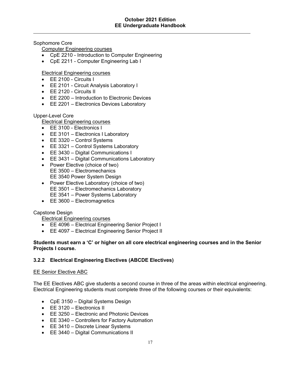Sophomore Core

Computer Engineering courses

- CpE 2210 Introduction to Computer Engineering
- CpE 2211 Computer Engineering Lab I

# Electrical Engineering courses

- EE 2100 Circuits I
- EE 2101 Circuit Analysis Laboratory I
- EE 2120 Circuits II
- EE 2200 Introduction to Electronic Devices
- EE 2201 Electronics Devices Laboratory

#### Upper-Level Core

Electrical Engineering courses

- EE 3100 Electronics I
- EE 3101 Electronics I Laboratory
- EE 3320 Control Systems
- **EE 3321 Control Systems Laboratory**
- EE 3430 Digital Communications I
- **EE 3431 Digital Communications Laboratory**
- Power Elective (choice of two) EE 3500 – Electromechanics EE 3540 Power System Design
- Power Elective Laboratory (choice of two) EE 3501 – Electromechanics Laboratory EE 3541 – Power Systems Laboratory
- EE 3600 Electromagnetics

#### Capstone Design

Electrical Engineering courses

- EE 4096 Electrical Engineering Senior Project I
- EE 4097 Electrical Engineering Senior Project II

#### **Students must earn a 'C' or higher on all core electrical engineering courses and in the Senior Projects I course.**

#### **3.2.2 Electrical Engineering Electives (ABCDE Electives)**

#### EE Senior Elective ABC

The EE Electives ABC give students a second course in three of the areas within electrical engineering. Electrical Engineering students must complete three of the following courses or their equivalents:

- CpE 3150 Digital Systems Design
- EE 3120 Electronics II
- EE 3250 Electronic and Photonic Devices
- EE 3340 Controllers for Factory Automation
- EE 3410 Discrete Linear Systems
- EE 3440 Digital Communications II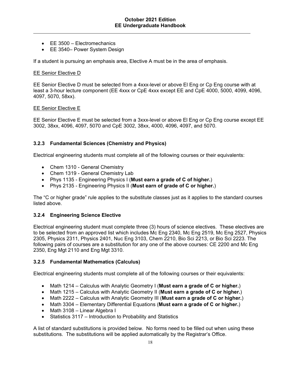- EE 3500 Electromechanics
- EE 3540– Power System Design

If a student is pursuing an emphasis area, Elective A must be in the area of emphasis.

#### EE Senior Elective D

EE Senior Elective D must be selected from a 4xxx-level or above El Eng or Cp Eng course with at least a 3-hour lecture component (EE 4xxx or CpE 4xxx except EE and CpE 4000, 5000, 4099, 4096, 4097, 5070, 58xx).

#### EE Senior Elective E

EE Senior Elective E must be selected from a 3xxx-level or above El Eng or Cp Eng course except EE 3002, 38xx, 4096, 4097, 5070 and CpE 3002, 38xx, 4000, 4096, 4097, and 5070.

#### **3.2.3 Fundamental Sciences (Chemistry and Physics)**

Electrical engineering students must complete all of the following courses or their equivalents:

- Chem 1310 General Chemistry
- Chem 1319 General Chemistry Lab
- Phys 1135 Engineering Physics I (**Must earn a grade of C of higher.**)
- Phys 2135 Engineering Physics II (**Must earn of grade of C or higher.**)

The "C or higher grade" rule applies to the substitute classes just as it applies to the standard courses listed above.

#### **3.2.4 Engineering Science Elective**

Electrical engineering student must complete three (3) hours of science electives. These electives are to be selected from an approved list which includes Mc Eng 2340, Mc Eng 2519, Mc Eng 2527, Physics 2305, Physics 2311, Physics 2401, Nuc Eng 3103, Chem 2210, Bio Sci 2213, or Bio Sci 2223. The following pairs of courses are a substitution for any one of the above courses: CE 2200 and Mc Eng 2350, Eng Mgt 2110 and Eng Mgt 3310.

#### **3.2.5 Fundamental Mathematics (Calculus)**

Electrical engineering students must complete all of the following courses or their equivalents:

- Math 1214 Calculus with Analytic Geometry I (**Must earn a grade of C or higher.**)
- Math 1215 Calculus with Analytic Geometry II (**Must earn a grade of C or higher.**)
- Math 2222 Calculus with Analytic Geometry III (**Must earn a grade of C or higher.**)
- Math 3304 Elementary Differential Equations (**Must earn a grade of C or higher.**)
- Math 3108 Linear Algebra I
- Statistics 3117 Introduction to Probability and Statistics

A list of standard substitutions is provided below. No forms need to be filled out when using these substitutions. The substitutions will be applied automatically by the Registrar's Office.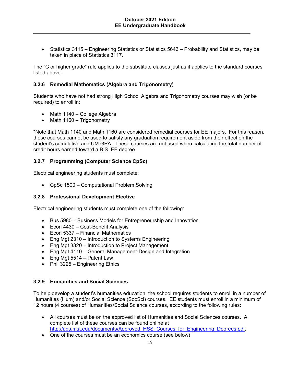Statistics 3115 – Engineering Statistics or Statistics 5643 – Probability and Statistics, may be taken in place of Statistics 3117.

The "C or higher grade" rule applies to the substitute classes just as it applies to the standard courses listed above.

# **3.2.6 Remedial Mathematics (Algebra and Trigonometry)**

Students who have not had strong High School Algebra and Trigonometry courses may wish (or be required) to enroll in:

- Math 1140 College Algebra
- $\bullet$  Math 1160 Trigonometry

\*Note that Math 1140 and Math 1160 are considered remedial courses for EE majors. For this reason, these courses cannot be used to satisfy any graduation requirement aside from their effect on the student's cumulative and UM GPA. These courses are not used when calculating the total number of credit hours earned toward a B.S. EE degree.

#### **3.2.7 Programming (Computer Science CpSc)**

Electrical engineering students must complete:

CpSc 1500 – Computational Problem Solving

#### **3.2.8 Professional Development Elective**

Electrical engineering students must complete one of the following:

- Bus 5980 Business Models for Entrepreneurship and Innovation
- Econ 4430 Cost-Benefit Analysis
- $\bullet$  Econ 5337 Financial Mathematics
- Eng Mgt 2310 Introduction to Systems Engineering
- Eng Mgt 3320 Introduction to Project Management
- Eng Mgt 4110 General Management-Design and Integration
- $\bullet$  Eng Mgt 5514 Patent Law
- Phil 3225 Engineering Ethics

#### **3.2.9 Humanities and Social Sciences**

To help develop a student's humanities education, the school requires students to enroll in a number of Humanities (Hum) and/or Social Science (SocSci) courses. EE students must enroll in a minimum of 12 hours (4 courses) of Humanities/Social Science courses, according to the following rules:

- All courses must be on the approved list of Humanities and Social Sciences courses. A complete list of these courses can be found online at http://ugs.mst.edu/documents/Approved HSS Courses for Engineering Degrees.pdf.
- One of the courses must be an economics course (see below)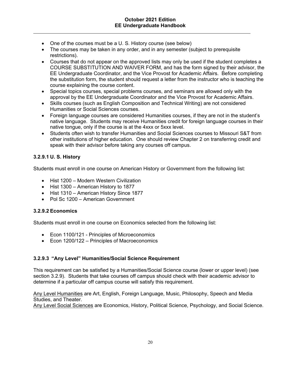- One of the courses must be a U. S. History course (see below)
- The courses may be taken in any order, and in any semester (subject to prerequisite restrictions).
- Courses that do not appear on the approved lists may only be used if the student completes a COURSE SUBSTITUTION AND WAIVER FORM, and has the form signed by their advisor, the EE Undergraduate Coordinator, and the Vice Provost for Academic Affairs. Before completing the substitution form, the student should request a letter from the instructor who is teaching the course explaining the course content.
- Special topics courses, special problems courses, and seminars are allowed only with the approval by the EE Undergraduate Coordinator and the Vice Provost for Academic Affairs.
- Skills courses (such as English Composition and Technical Writing) are not considered Humanities or Social Sciences courses.
- Foreign language courses are considered Humanities courses, if they are not in the student's native language. Students may receive Humanities credit for foreign language courses in their native tongue, only if the course is at the 4xxx or 5xxx level.
- Students often wish to transfer Humanities and Social Sciences courses to Missouri S&T from other institutions of higher education. One should review Chapter 2 on transferring credit and speak with their advisor before taking any courses off campus.

# **3.2.9.1 U. S. History**

Students must enroll in one course on American History or Government from the following list:

- Hist 1200 Modern Western Civilization
- Hist 1300 American History to 1877
- Hist 1310 American History Since 1877
- Pol Sc 1200 American Government

#### **3.2.9.2 Economics**

Students must enroll in one course on Economics selected from the following list:

- Econ 1100/121 Principles of Microeconomics
- Econ 1200/122 Principles of Macroeconomics

#### **3.2.9.3 "Any Level" Humanities/Social Science Requirement**

This requirement can be satisfied by a Humanities/Social Science course (lower or upper level) (see section 3.2.9). Students that take courses off campus should check with their academic advisor to determine if a particular off campus course will satisfy this requirement.

Any Level Humanities are Art, English, Foreign Language, Music, Philosophy, Speech and Media Studies, and Theater.

Any Level Social Sciences are Economics, History, Political Science, Psychology, and Social Science.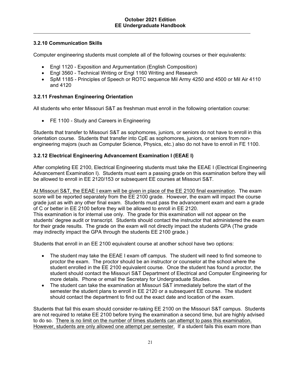# **3.2.10 Communication Skills**

Computer engineering students must complete all of the following courses or their equivalents:

- Engl 1120 Exposition and Argumentation (English Composition)
- Engl 3560 Technical Writing or Engl 1160 Writing and Research
- SpM 1185 Principles of Speech or ROTC sequence Mil Army 4250 and 4500 or Mil Air 4110 and 4120

# **3.2.11 Freshman Engineering Orientation**

All students who enter Missouri S&T as freshman must enroll in the following orientation course:

• FE 1100 - Study and Careers in Engineering

Students that transfer to Missouri S&T as sophomores, juniors, or seniors do not have to enroll in this orientation course. Students that transfer into CpE as sophomores, juniors, or seniors from nonengineering majors (such as Computer Science, Physics, etc.) also do not have to enroll in FE 1100.

# **3.2.12 Electrical Engineering Advancement Examination I (EEAE I)**

After completing EE 2100, Electrical Engineering students must take the EEAE I (Electrical Engineering Advancement Examination I). Students must earn a passing grade on this examination before they will be allowed to enroll in EE 2120/153 or subsequent EE courses at Missouri S&T.

At Missouri S&T, the EEAE I exam will be given in place of the EE 2100 final examination. The exam score will be reported separately from the EE 2100 grade. However, the exam will impact the course grade just as with any other final exam. Students must pass the advancement exam and earn a grade of C or better in EE 2100 before they will be allowed to enroll in EE 2120. This examination is for internal use only. The grade for this examination will not appear on the students' degree audit or transcript. Students should contact the instructor that administered the exam for their grade results. The grade on the exam will not directly impact the students GPA (The grade may indirectly impact the GPA through the students EE 2100 grade.)

Students that enroll in an EE 2100 equivalent course at another school have two options:

- The student may take the EEAE I exam off campus. The student will need to find someone to proctor the exam. The proctor should be an instructor or counselor at the school where the student enrolled in the EE 2100 equivalent course. Once the student has found a proctor, the student should contact the Missouri S&T Department of Electrical and Computer Engineering for more details. Phone or email the Secretary for Undergraduate Studies.
- The student can take the examination at Missouri S&T immediately before the start of the semester the student plans to enroll in EE 2120 or a subsequent EE course. The student should contact the department to find out the exact date and location of the exam.

Students that fail this exam should consider re-taking EE 2100 on the Missouri S&T campus. Students are not required to retake EE 2100 before trying the examination a second time, but are highly advised to do so. There is no limit on the number of times students can attempt to pass this examination. However, students are only allowed one attempt per semester. If a student fails this exam more than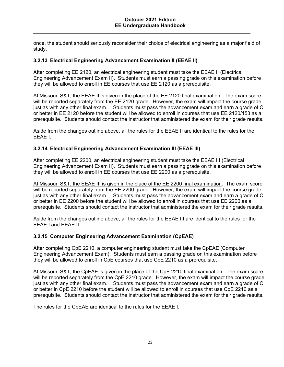once, the student should seriously reconsider their choice of electrical engineering as a major field of study.

# **3.2.13 Electrical Engineering Advancement Examination II (EEAE II)**

After completing EE 2120, an electrical engineering student must take the EEAE II (Electrical Engineering Advancement Exam II). Students must earn a passing grade on this examination before they will be allowed to enroll in EE courses that use EE 2120 as a prerequisite.

At Missouri S&T, the EEAE II is given in the place of the EE 2120 final examination. The exam score will be reported separately from the EE 2120 grade. However, the exam will impact the course grade just as with any other final exam. Students must pass the advancement exam and earn a grade of C or better in EE 2120 before the student will be allowed to enroll in courses that use EE 2120/153 as a prerequisite. Students should contact the instructor that administered the exam for their grade results.

Aside from the changes outline above, all the rules for the EEAE II are identical to the rules for the EEAE I.

#### **3.2.14 Electrical Engineering Advancement Examination III (EEAE III)**

After completing EE 2200, an electrical engineering student must take the EEAE III (Electrical Engineering Advancement Exam II). Students must earn a passing grade on this examination before they will be allowed to enroll in EE courses that use EE 2200 as a prerequisite.

At Missouri S&T, the EEAE III is given in the place of the EE 2200 final examination. The exam score will be reported separately from the EE 2200 grade. However, the exam will impact the course grade just as with any other final exam. Students must pass the advancement exam and earn a grade of C or better in EE 2200 before the student will be allowed to enroll in courses that use EE 2200 as a prerequisite. Students should contact the instructor that administered the exam for their grade results.

Aside from the changes outline above, all the rules for the EEAE III are identical to the rules for the EEAE I and EEAE II.

#### **3.2.15 Computer Engineering Advancement Examination (CpEAE)**

After completing CpE 2210, a computer engineering student must take the CpEAE (Computer Engineering Advancement Exam). Students must earn a passing grade on this examination before they will be allowed to enroll in CpE courses that use CpE 2210 as a prerequisite.

At Missouri S&T, the CpEAE is given in the place of the CpE 2210 final examination. The exam score will be reported separately from the CpE 2210 grade. However, the exam will impact the course grade just as with any other final exam. Students must pass the advancement exam and earn a grade of C or better in CpE 2210 before the student will be allowed to enroll in courses that use CpE 2210 as a prerequisite. Students should contact the instructor that administered the exam for their grade results.

The rules for the CpEAE are identical to the rules for the EEAE I.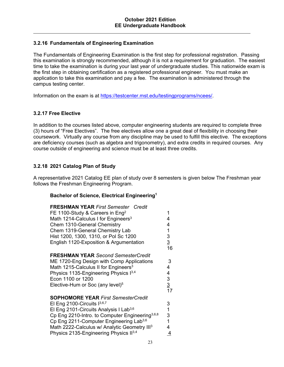# **3.2.16 Fundamentals of Engineering Examination**

The Fundamentals of Engineering Examination is the first step for professional registration. Passing this examination is strongly recommended, although it is not a requirement for graduation. The easiest time to take the examination is during your last year of undergraduate studies. This nationwide exam is the first step in obtaining certification as a registered professional engineer. You must make an application to take this examination and pay a fee. The examination is administered through the campus testing center.

Information on the exam is at https://testcenter.mst.edu/testingprograms/ncees/.

#### **3.2.17 Free Elective**

In addition to the courses listed above, computer engineering students are required to complete three (3) hours of "Free Electives". The free electives allow one a great deal of flexibility in choosing their coursework. Virtually any course from any discipline may be used to fulfill this elective. The exceptions are deficiency courses (such as algebra and trigonometry), and extra credits in required courses. Any course outside of engineering and science must be at least three credits.

# **3.2.18 2021 Catalog Plan of Study**

A representative 2021 Catalog EE plan of study over 8 semesters is given below The Freshman year follows the Freshman Engineering Program.

#### **Bachelor of Science, Electrical Engineering1**

| <b>FRESHMAN YEAR First Semester Credit</b><br>FE 1100-Study & Careers in Eng <sup>2</sup><br>Math 1214-Calculus I for Engineers <sup>3</sup><br>Chem 1310-General Chemistry<br>Chem 1319-General Chemistry Lab<br>Hist 1200, 1300, 1310, or Pol Sc 1200<br>English 1120-Exposition & Argumentation                                                                           | 1<br>4<br>4<br>1<br>3<br>$\overline{3}$<br>16 |
|------------------------------------------------------------------------------------------------------------------------------------------------------------------------------------------------------------------------------------------------------------------------------------------------------------------------------------------------------------------------------|-----------------------------------------------|
| <b>FRESHMAN YEAR Second SemesterCredit</b><br>ME 1720-Eng Design with Comp Applications<br>Math 1215-Calculus II for Engineers <sup>3</sup><br>Physics 1135-Engineering Physics 13,4<br>Econ 1100 or 1200<br>Elective-Hum or Soc (any level) <sup>5</sup>                                                                                                                    | 3<br>4<br>4<br>3<br>$\frac{3}{17}$            |
| <b>SOPHOMORE YEAR First SemesterCredit</b><br>El Eng 2100-Circuits $1^{3,6,7}$<br>El Eng 2101-Circuits Analysis I Lab <sup>3,6</sup><br>Cp Eng 2210-Intro. to Computer Engineering <sup>3,6,8</sup><br>Cp Eng 2211-Computer Engineering Lab <sup>3,6</sup><br>Math 2222-Calculus w/ Analytic Geometry III <sup>3</sup><br>Physics 2135-Engineering Physics II <sup>3,4</sup> | 3<br>$\overline{1}$<br>3<br>1<br>4<br>4       |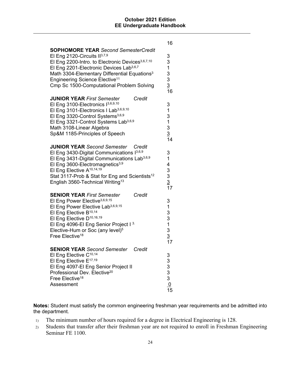|                                                                                                                                                                                                                                                                                                                                                                 | 16                                                                          |
|-----------------------------------------------------------------------------------------------------------------------------------------------------------------------------------------------------------------------------------------------------------------------------------------------------------------------------------------------------------------|-----------------------------------------------------------------------------|
| <b>SOPHOMORE YEAR</b> Second SemesterCredit<br>El Eng 2120-Circuits $II^{3,7,9}$<br>El Eng 2200-Intro. to Electronic Devices <sup>3,6,7,10</sup><br>El Eng 2201-Electronic Devices Lab <sup>3,6,7</sup><br>Math 3304-Elementary Differential Equations <sup>3</sup><br>Engineering Science Elective <sup>11</sup><br>Cmp Sc 1500-Computational Problem Solving  | 3<br>3<br>1<br>$\frac{3}{3}$ $\frac{3}{16}$                                 |
| Credit<br><b>JUNIOR YEAR First Semester</b><br>El Eng 3100-Electronics 13,6,9,10<br>El Eng 3101-Electronics I Lab <sup>3,6,9,10</sup><br>El Eng 3320-Control Systems <sup>3,6,9</sup><br>El Eng 3321-Control Systems Lab <sup>3,6,9</sup><br>Math 3108-Linear Algebra<br>Sp&M 1185-Principles of Speech                                                         | 3<br>1<br>3<br>$\mathbf 1$<br>3<br>$\overline{3}$<br>14                     |
| <b>JUNIOR YEAR Second Semester</b><br>Credit<br>El Eng 3430-Digital Communications $1^{3,6,9}$<br>El Eng 3431-Digital Communications Lab <sup>3,6,9</sup><br>El Eng 3600-Electromagnetics <sup>3,9</sup><br>El Eng Elective A <sup>10,14,19</sup><br>Stat 3117-Prob & Stat for Eng and Scientists <sup>12</sup><br>English 3560-Technical Writing <sup>13</sup> | 3<br>1<br>4<br>3<br>3<br>$\frac{3}{17}$                                     |
| <b>SENIOR YEAR First Semester</b><br>Credit<br>El Eng Power Elective <sup>3,6,9,15</sup><br>El Eng Power Elective Lab <sup>3,6,9,15</sup><br>El Eng Elective B <sup>10,14</sup><br>El Eng Elective D <sup>10,16,19</sup><br>El Eng 4096-El Eng Senior Project I <sup>3.</sup><br>Elective-Hum or Soc (any level) <sup>5</sup><br>Free Elective <sup>18</sup>    | 3<br>$\mathbf 1$<br>$\frac{3}{3}$<br>$\ddot{\phantom{1}}$<br>$\frac{3}{17}$ |
| <b>SENIOR YEAR Second Semester</b><br>Credit<br>El Eng Elective C <sup>10,14</sup><br>El Eng Elective E <sup>17,19</sup><br>El Eng 4097-El Eng Senior Project II<br>Professional Dev. Elective <sup>20</sup><br>Free Elective <sup>18</sup><br>Assessment                                                                                                       | 333333<br>$\frac{0}{15}$                                                    |

**Notes:** Student must satisfy the common engineering freshman year requirements and be admitted into the department.

- 1) The minimum number of hours required for a degree in Electrical Engineering is 128.
- 2) Students that transfer after their freshman year are not required to enroll in Freshman Engineering Seminar FE 1100.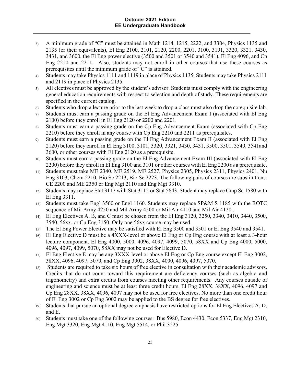- 3) A minimum grade of "C" must be attained in Math 1214, 1215, 2222, and 3304, Physics 1135 and 2135 (or their equivalents), El Eng 2100, 2101, 2120, 2200, 2201, 3100, 3101, 3320, 3321, 3430, 3431, and 3600, the El Eng power elective (3500 and 3501 or 3540 and 3541), El Eng 4096, and Cp Eng 2210 and 2211. Also, students may not enroll in other courses that use these courses as prerequisites until the minimum grade of "C" is attained.
- 4) Students may take Physics 1111 and 1119 in place of Physics 1135. Students may take Physics 2111 and 2119 in place of Physics 2135.
- 5) All electives must be approved by the student's advisor. Students must comply with the engineering general education requirements with respect to selection and depth of study. These requirements are specified in the current catalog.
- 6) Students who drop a lecture prior to the last week to drop a class must also drop the corequisite lab.
- 7) Students must earn a passing grade on the El Eng Advancement Exam I (associated with El Eng 2100) before they enroll in El Eng 2120 or 2200 and 2201.
- 8) Students must earn a passing grade on the Cp Eng Advancement Exam (associated with Cp Eng 2210) before they enroll in any course with Cp Eng 2210 and 2211 as prerequisites.
- 9) Students must earn a passing grade on the El Eng Advancement Exam II (associated with El Eng 2120) before they enroll in El Eng 3100, 3101, 3320, 3321, 3430, 3431, 3500, 3501, 3540, 3541and 3600, or other courses with El Eng 2120 as a prerequisite.
- 10) Students must earn a passing grade on the El Eng Advancement Exam III (associated with El Eng 2200) before they enroll in El Eng 3100 and 3101 or other courses with El Eng 2200 as a prerequisite.
- 11) Students must take ME 2340. ME 2519, ME 2527, Physics 2305, Physics 2311, Physics 2401, Nu Eng 3103, Chem 2210, Bio Sc 2213, Bio Sc 2223. The following pairs of courses are substitutions: CE 2200 and ME 2350 or Eng Mgt 2110 and Eng Mgt 3310.
- 12) Students may replace Stat 3117 with Stat 3115 or Stat 5643. Student may replace Cmp Sc 1580 with El Eng 3311.
- 13) Students must take Engl 3560 or Engl 1160. Students may replace SP&M S 1185 with the ROTC sequence of Mil Army 4250 and Mil Army 4500 or Mil Air 4110 and Mil Air 4120..
- 14) El Eng Electives A, B, and C must be chosen from the El Eng 3120, 3250, 3340, 3410, 3440, 3500, 3540, 56xx, or Cp Eng 3150. Only one 56xx course may be used.
- 15) The El Eng Power Elective may be satisfied with El Eng 3500 and 3501 or El Eng 3540 and 3541.
- 16) El Eng Elective D must be a 4XXX-level or above El Eng or Cp Eng course with at least a 3-hour lecture component. El Eng 4000, 5000, 4096, 4097, 4099, 5070, 58XX and Cp Eng 4000, 5000, 4096, 4097, 4099, 5070, 58XX may not be used for Elective D.
- 17) El Eng Elective E may be any 3XXX-level or above El Eng or Cp Eng course except El Eng 3002, 38XX, 4096, 4097, 5070, and Cp Eng 3002, 38XX, 4000, 4096, 4097, 5070.
- 18) Students are required to take six hours of free elective in consultation with their academic advisors. Credits that do not count toward this requirement are deficiency courses (such as algebra and trigonometry) and extra credits from courses meeting other requirements. Any courses outside of engineering and science must be at least three credit hours. El Eng 28XX, 38XX, 4096, 4097 and Cp Eng 28XX, 38XX, 4096, 4097 may not be used for free electives. No more than one credit hour of El Eng 3002 or Cp Eng 3002 may be applied to the BS degree for free electives.
- 19) Students that pursue an optional degree emphasis have restricted options for El Eng Electives A, D, and E.
- 20) Students must take one of the following courses: Bus 5980, Econ 4430, Econ 5337, Eng Mgt 2310, Eng Mgt 3320, Eng Mgt 4110, Eng Mgt 5514, or Phil 3225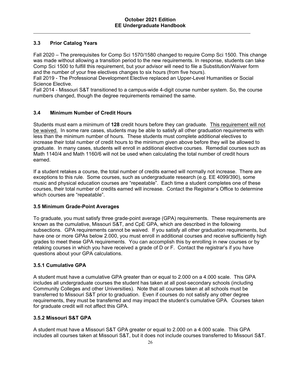# **3.3 Prior Catalog Years**

Fall 2020 – The prerequisites for Comp Sci 1570/1580 changed to require Comp Sci 1500. This change was made without allowing a transition period to the new requirements. In response, students can take Comp Sci 1500 to fulfill this requirement, but your advisor will need to file a Substitution/Waiver form and the number of your free electives changes to six hours (from five hours).

Fall 2019 - The Professional Development Elective replaced an Upper-Level Humanities or Social Science Elective.

Fall 2014 - Missouri S&T transitioned to a campus-wide 4-digit course number system. So, the course numbers changed, though the degree requirements remained the same.

# **3.4 Minimum Number of Credit Hours**

Students must earn a minimum of **128** credit hours before they can graduate. This requirement will not be waived. In some rare cases, students may be able to satisfy all other graduation requirements with less than the minimum number of hours. These students must complete additional electives to increase their total number of credit hours to the minimum given above before they will be allowed to graduate. In many cases, students will enroll in additional elective courses. Remedial courses such as Math 1140/4 and Math 1160/6 will not be used when calculating the total number of credit hours earned.

If a student retakes a course, the total number of credits earned will normally not increase. There are exceptions to this rule. Some courses, such as undergraduate research (e.g. EE 4099/390), some music and physical education courses are "repeatable". Each time a student completes one of these courses, their total number of credits earned will increase. Contact the Registrar's Office to determine which courses are "repeatable".

#### **3.5 Minimum Grade-Point Averages**

To graduate, you must satisfy three grade-point average (GPA) requirements. These requirements are known as the cumulative, Missouri S&T, and CpE GPA, which are described in the following subsections. GPA requirements cannot be waived. If you satisfy all other graduation requirements, but have one or more GPAs below 2.000, you must enroll in additional courses and receive sufficiently high grades to meet these GPA requirements. You can accomplish this by enrolling in new courses or by retaking courses in which you have received a grade of D or F. Contact the registrar's if you have questions about your GPA calculations.

#### **3.5.1 Cumulative GPA**

A student must have a cumulative GPA greater than or equal to 2.000 on a 4.000 scale. This GPA includes all undergraduate courses the student has taken at all post-secondary schools (including Community Colleges and other Universities). Note that all courses taken at all schools must be transferred to Missouri S&T prior to graduation. Even if courses do not satisfy any other degree requirements, they must be transferred and may impact the student's cumulative GPA. Courses taken for graduate credit will not affect this GPA.

#### **3.5.2 Missouri S&T GPA**

A student must have a Missouri S&T GPA greater or equal to 2.000 on a 4.000 scale. This GPA includes all courses taken at Missouri S&T, but it does not include courses transferred to Missouri S&T.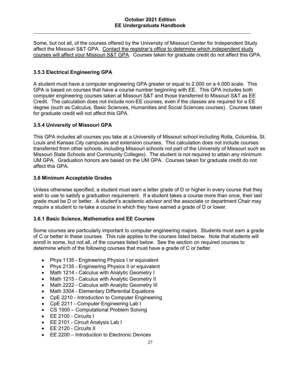Some, but not all, of the courses offered by the University of Missouri Center for Independent Study affect the Missouri S&T GPA. Contact the registrar's office to determine which independent study courses will affect your Missouri S&T GPA. Courses taken for graduate credit do not affect this GPA.

# **3.5.3 Electrical Engineering GPA**

A student must have a computer engineering GPA greater or equal to 2.000 on a 4.000 scale. This GPA is based on courses that have a course number beginning with EE. This GPA includes both computer engineering courses taken at Missouri S&T and those transferred to Missouri S&T as EE Credit. The calculation does not include non-EE courses, even if the classes are required for a EE degree (such as Calculus, Basic Sciences, Humanities and Social Sciences courses). Courses taken for graduate credit will not affect this GPA.

#### **3.5.4 University of Missouri GPA**

This GPA includes all courses you take at a University of Missouri school including Rolla, Columbia, St. Louis and Kansas City campuses and extension courses. This calculation does not include courses transferred from other schools, including Missouri schools not part of the University of Missouri such as Missouri State Schools and Community Colleges). The student is not required to attain any minimum UM GPA. Graduation honors are based on the UM GPA. Courses taken for graduate credit do not affect this GPA.

#### **3.6 Minimum Acceptable Grades**

Unless otherwise specified, a student must earn a letter grade of D or higher in every course that they wish to use to satisfy a graduation requirement. If a student takes a course more than once, their last grade must be D or better. A student's academic advisor and the associate or department Chair may require a student to re-take a course in which they have earned a grade of D or lower.

#### **3.6.1 Basic Science, Mathematics and EE Courses**

Some courses are particularly important to computer engineering majors. Students must earn a grade of C or better in these courses. This rule applies to the courses listed below. Note that students will enroll in some, but not all, of the courses listed below. See the section on required courses to determine which of the following courses that must have a grade of C or better.

- Phys 1135 Engineering Physics I or equivalent
- Phys 2135 Engineering Physics II or equivalent
- Math 1214 Calculus with Analytic Geometry I
- Math 1215 Calculus with Analytic Geometry II
- Math 2222 Calculus with Analytic Geometry III
- Math 3304 Elementary Differential Equations
- CpE 2210 Introduction to Computer Engineering
- CpE 2211 Computer Engineering Lab I
- CS 1500 Computational Problem Solving
- EE 2100 Circuits I
- EE 2101 Circuit Analysis Lab I
- EE 2120 Circuits II
- EE 2200 Introduction to Electronic Devices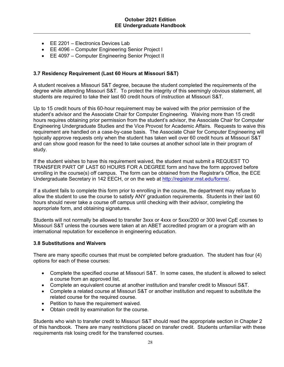- EE 2201 Electronics Devices Lab
- EE 4096 Computer Engineering Senior Project I
- EE 4097 Computer Engineering Senior Project II

#### **3.7 Residency Requirement (Last 60 Hours at Missouri S&T)**

A student receives a Missouri S&T degree, because the student completed the requirements of the degree while attending Missouri S&T. To protect the integrity of this seemingly obvious statement, all students are required to take their last 60 credit hours of instruction at Missouri S&T.

Up to 15 credit hours of this 60-hour requirement may be waived with the prior permission of the student's advisor and the Associate Chair for Computer Engineering. Waiving more than 15 credit hours requires obtaining prior permission from the student's advisor, the Associate Chair for Computer Engineering Undergraduate Studies and the Vice Provost for Academic Affairs. Requests to waive this requirement are handled on a case-by-case basis. The Associate Chair for Computer Engineering will typically approve requests only when the student has taken well over 60 credit hours at Missouri S&T and can show good reason for the need to take courses at another school late in their program of study.

If the student wishes to have this requirement waived, the student must submit a REQUEST TO TRANSFER PART OF LAST 60 HOURS FOR A DEGREE form and have the form approved before enrolling in the course(s) off campus. The form can be obtained from the Registrar's Office, the ECE Undergraduate Secretary in 142 EECH, or on the web at http://registrar.mst.edu/forms/.

If a student fails to complete this form prior to enrolling in the course, the department may refuse to allow the student to use the course to satisfy ANY graduation requirements. Students in their last 60 hours should never take a course off campus until checking with their advisor, completing the appropriate form, and obtaining signatures.

Students will not normally be allowed to transfer 3xxx or 4xxx or 5xxx/200 or 300 level CpE courses to Missouri S&T unless the courses were taken at an ABET accredited program or a program with an international reputation for excellence in engineering education.

#### **3.8 Substitutions and Waivers**

There are many specific courses that must be completed before graduation. The student has four (4) options for each of these courses:

- Complete the specified course at Missouri S&T. In some cases, the student is allowed to select a course from an approved list.
- Complete an equivalent course at another institution and transfer credit to Missouri S&T.
- Complete a related course at Missouri S&T or another institution and request to substitute the related course for the required course.
- Petition to have the requirement waived.
- Obtain credit by examination for the course.

Students who wish to transfer credit to Missouri S&T should read the appropriate section in Chapter 2 of this handbook. There are many restrictions placed on transfer credit. Students unfamiliar with these requirements risk losing credit for the transferred courses.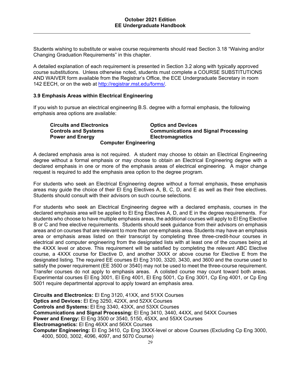Students wishing to substitute or waive course requirements should read Section 3.18 "Waiving and/or Changing Graduation Requirements" in this chapter.

A detailed explanation of each requirement is presented in Section 3.2 along with typically approved course substitutions. Unless otherwise noted, students must complete a COURSE SUBSTITUTIONS AND WAIVER form available from the Registrar's Office, the ECE Undergraduate Secretary in room 142 EECH, or on the web at http://registrar.mst.edu/forms/.

#### **3.9 Emphasis Areas within Electrical Engineering**

If you wish to pursue an electrical engineering B.S. degree with a formal emphasis, the following emphasis area options are available:

 **Circuits and Electronics Optics and Devices Controls and Systems Communications and Signal Processing Power and Energy Constraining Electromagnetics Computer Engineering** 

A declared emphasis area is not required. A student may choose to obtain an Electrical Engineering degree without a formal emphasis or may choose to obtain an Electrical Engineering degree with a declared emphasis in one or more of the emphasis areas of electrical engineering. A major change request is required to add the emphasis area option to the degree program.

For students who seek an Electrical Engineering degree without a formal emphasis, these emphasis areas may guide the choice of their El Eng Electives A, B, C, D, and E as well as their free electives. Students should consult with their advisors on such course selections.

For students who seek an Electrical Engineering degree with a declared emphasis, courses in the declared emphasis area will be applied to El Eng Electives A, D, and E in the degree requirements. For students who choose to have multiple emphasis areas, the additional courses will apply to El Eng Elective B or C and free elective requirements. Students should seek guidance from their advisors on emphasis areas and on courses that are relevant to more than one emphasis area. Students may have an emphasis area or emphasis areas listed on their transcript by completing three three-credit-hour courses in electrical and computer engineering from the designated lists with at least one of the courses being at the 4XXX level or above. This requirement will be satisfied by completing the relevant ABC Elective course, a 4XXX course for Elective D, and another 3XXX or above course for Elective E from the designated listing. The required EE courses El Eng 3100, 3320, 3430, and 3600 and the course used to satisfy the power requirement (EE 3500 or 3540) may not be used to meet the three-course requirement. Transfer courses do not apply to emphasis areas. A colisted course may count toward both areas. Experimental courses El Eng 3001, El Eng 4001, El Eng 5001, Cp Eng 3001, Cp Eng 4001, or Cp Eng 5001 require departmental approval to apply toward an emphasis area.

**Circuits and Electronics:** El Eng 3120, 41XX, and 51XX Courses **Optics and Devices:** El Eng 3250, 42XX, and 52XX Courses **Controls and Systems:** El Eng 3340, 43XX, and 53XX Courses **Communications and Signal Processing:** El Eng 3410, 3440, 44XX, and 54XX Courses **Power and Energy:** El Eng 3500 or 3540, 5150, 45XX, and 55XX Courses **Electromagnetics:** El Eng 46XX and 56XX Courses **Computer Engineering:** El Eng 3410, Cp Eng 3XXX-level or above Courses (Excluding Cp Eng 3000, 4000, 5000, 3002, 4096, 4097, and 5070 Course)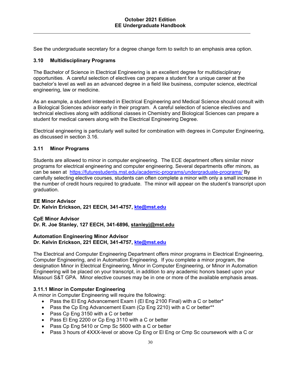See the undergraduate secretary for a degree change form to switch to an emphasis area option.

#### **3.10 Multidisciplinary Programs**

The Bachelor of Science in Electrical Engineering is an excellent degree for multidisciplinary opportunities. A careful selection of electives can prepare a student for a unique career at the bachelor's level as well as an advanced degree in a field like business, computer science, electrical engineering, law or medicine.

As an example, a student interested in Electrical Engineering and Medical Science should consult with a Biological Sciences advisor early in their program. A careful selection of science electives and technical electives along with additional classes in Chemistry and Biological Sciences can prepare a student for medical careers along with the Electrical Engineering Degree.

Electrical engineering is particularly well suited for combination with degrees in Computer Engineering, as discussed in section 3.16.

#### **3.11 Minor Programs**

Students are allowed to minor in computer engineering. The ECE department offers similar minor programs for electrical engineering and computer engineering. Several departments offer minors, as can be seen at https://futurestudents.mst.edu/academic-programs/undergraduate-programs/ By carefully selecting elective courses, students can often complete a minor with only a small increase in the number of credit hours required to graduate. The minor will appear on the student's transcript upon graduation.

#### **EE Minor Advisor Dr. Kelvin Erickson, 221 EECH, 341-4757, kte@mst.edu**

#### **CpE Minor Advisor**

**Dr. R. Joe Stanley, 127 EECH, 341-6896, stanleyj@mst.edu** 

#### **Automation Engineering Minor Advisor Dr. Kelvin Erickson, 221 EECH, 341-4757, kte@mst.edu**

The Electrical and Computer Engineering Department offers minor programs in Electrical Engineering, Computer Engineering, and in Automation Engineering. If you complete a minor program, the designation Minor in Electrical Engineering, Minor in Computer Engineering, or Minor in Automation Engineering will be placed on your transcript, in addition to any academic honors based upon your Missouri S&T GPA. Minor elective courses may be in one or more of the available emphasis areas.

#### **3.11.1 Minor in Computer Engineering**

A minor in Computer Engineering will require the following:

- Pass the El Eng Advancement Exam I (El Eng 2100 Final) with a C or better\*
- Pass the Cp Eng Advancement Exam (Cp Eng 2210) with a C or better\*\*
- Pass Cp Eng 3150 with a C or better
- Pass El Eng 2200 or Cp Eng 3110 with a C or better
- Pass Cp Eng 5410 or Cmp Sc 5600 with a C or better
- Pass 3 hours of 4XXX-level or above Cp Eng or El Eng or Cmp Sc coursework with a C or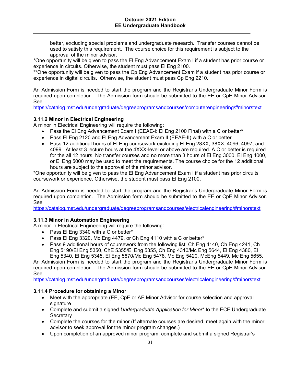better, excluding special problems and undergraduate research. Transfer courses cannot be used to satisfy this requirement. The course choice for this requirement is subject to the approval of the minor advisor.

\*One opportunity will be given to pass the El Eng Advancement Exam I if a student has prior course or experience in circuits. Otherwise, the student must pass El Eng 2100.

\*\*One opportunity will be given to pass the Cp Eng Advancement Exam if a student has prior course or experience in digital circuits. Otherwise, the student must pass Cp Eng 2210.

An Admission Form is needed to start the program and the Registrar's Undergraduate Minor Form is required upon completion. The Admission form should be submitted to the EE or CpE Minor Advisor. See

https://catalog.mst.edu/undergraduate/degreeprogramsandcourses/computerengineering/#minorstext

#### **3.11.2 Minor in Electrical Engineering**

A minor in Electrical Engineering will require the following:

- Pass the El Eng Advancement Exam I (EEAE-I: El Eng 2100 Final) with a C or better\*
- Pass El Eng 2120 and El Eng Advancement Exam II (EEAE-II) with a C or better
- Pass 12 additional hours of El Eng coursework excluding El Eng 28XX, 38XX, 4096, 4097, and 4099. At least 3 lecture hours at the 4XXX-level or above are required. A C or better is required for the all 12 hours. No transfer courses and no more than 3 hours of El Eng 3000, El Eng 4000, or El Eng 5000 may be used to meet the requirements. The course choice for the 12 additional hours are subject to the approval of the minor advisor.

\*One opportunity will be given to pass the El Eng Advancement Exam I if a student has prior circuits coursework or experience. Otherwise, the student must pass El Eng 2100.

An Admission Form is needed to start the program and the Registrar's Undergraduate Minor Form is required upon completion. The Admission form should be submitted to the EE or CpE Minor Advisor. See

https://catalog.mst.edu/undergraduate/degreeprogramsandcourses/electricalengineering/#minorstext

#### **3.11.3 Minor in Automation Engineering**

A minor in Electrical Engineering will require the following:

- Pass El Eng 3340 with a C or better\*
- Pass El Eng 3320, Mc Eng 4479, or Ch Eng 4110 with a C or better\*
- Pass 9 additional hours of coursework from the following list: Ch Eng 4140, Ch Eng 4241, Ch Eng 5190/El Eng 5350, ChE 5355/El Eng 5355, Ch Eng 4310/Mc Eng 5644, El Eng 4380, El Eng 5340, El Eng 5345, El Eng 5870/Mc Eng 5478, Mc Eng 5420, McEng 5449, Mc Eng 5655.

An Admission Form is needed to start the program and the Registrar's Undergraduate Minor Form is required upon completion. The Admission form should be submitted to the EE or CpE Minor Advisor. See

https://catalog.mst.edu/undergraduate/degreeprogramsandcourses/electricalengineering/#minorstext

#### **3.11.4 Procedure for obtaining a Minor**

- Meet with the appropriate (EE, CpE or AE Minor Advisor for course selection and approval signature
- Complete and submit a signed *Undergraduate Application for Minor*\* to the ECE Undergraduate **Secretary**
- Complete the courses for the minor (If alternate courses are desired, meet again with the minor advisor to seek approval for the minor program changes.)
- Upon completion of an approved minor program, complete and submit a signed Registrar's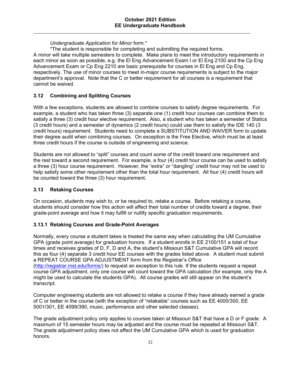# *Undergraduate Application for Minor* form.\*

\*The student is responsible for completing and submitting the required forms.

A minor will take multiple semesters to complete. Make plans to meet the introductory requirements in each minor as soon as possible, e.g. the El Eng Advancement Exam I or El Eng 2100 and the Cp Eng Advancement Exam or Cp Eng 2210 are basic prerequisite for courses in El Eng and Cp Eng, respectively. The use of minor courses to meet in-major course requirements is subject to the major department's approval. Note that the C or better requirement for all courses is a requirement that cannot be waived.

# **3.12 Combining and Splitting Courses**

With a few exceptions, students are allowed to combine courses to satisfy degree requirements. For example, a student who has taken three (3) separate one (1) credit hour courses can combine them to satisfy a three (3) credit hour elective requirement. Also, a student who has taken a semester of Statics (3 credit hours) and a semester of dynamics (2 credit hours) could use them to satisfy the IDE 140 (3 credit hours) requirement. Students need to complete a SUBSTITUTION AND WAIVER form to update their degree audit when combining courses. On exception is the Free Elective, which must be at least three credit hours if the course is outside of engineering and science.

Students are not allowed to "split" courses and count some of the credit toward one requirement and the rest toward a second requirement. For example, a four (4) credit hour course can be used to satisfy a three (3) hour course requirement. However, the "extra" or "dangling" credit hour may not be used to help satisfy some other requirement other than the total hour requirement. All four (4) credit hours will be counted toward the three (3) hour requirement.

#### **3.13 Retaking Courses**

On occasion, students may wish to, or be required to, retake a course. Before retaking a course, students should consider how this action will affect their total number of credits toward a degree, their grade-point average and how it may fulfill or nullify specific graduation requirements.

#### **3.13.1 Retaking Courses and Grade-Point Averages**

Normally, every course a student takes is treated the same way when calculating the UM Cumulative GPA (grade point average) for graduation honors. If a student enrolls in EE 2100/151 a total of four times and receives grades of D, F, D and A, the student's Missouri S&T Cumulative GPA will record this as four (4) separate 3 credit hour EE courses with the grades listed above. A student must submit a REPEAT COURSE GPA ADJUSTMENT form from the Registrar's Office (http://registrar.mst.edu/forms/) to request an exception to this rule. If the students request a repeat course GPA adjustment, only one course will count toward the GPA calculation (for example, only the A might be used to calculate the students GPA). All course grades will still appear on the student's transcript.

Computer engineering students are not allowed to retake a course if they have already earned a grade of C or better in the course (with the exception of "retakable" courses such as EE 4000/300, EE 5001/301, EE 4099/390, music, performance and other selected classes).

The grade adjustment policy only applies to courses taken at Missouri S&T that have a D or F grade. A maximum of 15 semester hours may be adjusted and the course must be repeated at Missouri S&T. The grade adjustment policy does not affect the UM Cumulative GPA which is used for graduation honors.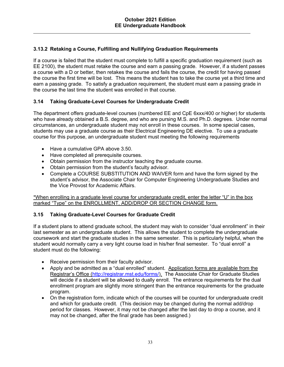# **3.13.2 Retaking a Course, Fulfilling and Nullifying Graduation Requirements**

If a course is failed that the student must complete to fulfill a specific graduation requirement (such as EE 2100), the student must retake the course and earn a passing grade. However, if a student passes a course with a D or better, then retakes the course and fails the course, the credit for having passed the course the first time will be lost. This means the student has to take the course yet a third time and earn a passing grade. To satisfy a graduation requirement, the student must earn a passing grade in the course the last time the student was enrolled in that course.

# **3.14 Taking Graduate-Level Courses for Undergraduate Credit**

The department offers graduate-level courses (numbered EE and CpE 6xxx/400 or higher) for students who have already obtained a B.S. degree, and who are pursing M.S. and Ph.D. degrees. Under normal circumstances, an undergraduate student may not enroll in these courses. In some special cases, students may use a graduate course as their Electrical Engineering DE elective. To use a graduate course for this purpose, an undergraduate student must meeting the following requirements

- Have a cumulative GPA above 3.50.
- Have completed all prerequisite courses.
- Obtain permission from the instructor teaching the graduate course.
- Obtain permission from the student's faculty advisor.
- Complete a COURSE SUBSTITUTION AND WAIVER form and have the form signed by the student's advisor, the Associate Chair for Computer Engineering Undergraduate Studies and the Vice Provost for Academic Affairs.

\*When enrolling in a graduate level course for undergraduate credit, enter the letter "U" in the box marked "Type" on the ENROLLMENT, ADD/DROP OR SECTION CHANGE form.

#### **3.15 Taking Graduate-Level Courses for Graduate Credit**

If a student plans to attend graduate school, the student may wish to consider "dual enrollment" in their last semester as an undergraduate student. This allows the student to complete the undergraduate coursework and start the graduate studies in the same semester. This is particularly helpful, when the student would normally carry a very light course load in his/her final semester. To "dual enroll" a student must do the following:

- Receive permission from their faculty advisor.
- Apply and be admitted as a "dual enrolled" student. Application forms are available from the Registrar's Office (http://registrar.mst.edu/forms/). The Associate Chair for Graduate Studies will decide if a student will be allowed to dually enroll. The entrance requirements for the dual enrollment program are slightly more stringent than the entrance requirements for the graduate program.
- On the registration form, indicate which of the courses will be counted for undergraduate credit and which for graduate credit. (This decision may be changed during the normal add/drop period for classes. However, it may not be changed after the last day to drop a course, and it may not be changed, after the final grade has been assigned.)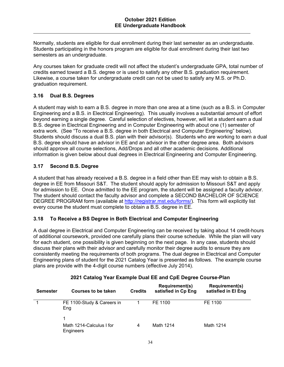Normally, students are eligible for dual enrollment during their last semester as an undergraduate. Students participating in the honors program are eligible for dual enrollment during their last two semesters as an undergraduate.

Any courses taken for graduate credit will not affect the student's undergraduate GPA, total number of credits earned toward a B.S. degree or is used to satisfy any other B.S. graduation requirement. Likewise, a course taken for undergraduate credit can not be used to satisfy any M.S. or Ph.D. graduation requirement.

# **3.16 Dual B.S. Degrees**

A student may wish to earn a B.S. degree in more than one area at a time (such as a B.S. in Computer Engineering and a B.S. in Electrical Engineering). This usually involves a substantial amount of effort beyond earning a single degree. Careful selection of electives, however, will let a student earn a dual B.S. degree in Electrical Engineering and in Computer Engineering with about one (1) semester of extra work. (See "To receive a B.S. degree in both Electrical and Computer Engineering" below). Students should discuss a dual B.S. plan with their advisor(s). Students who are working to earn a dual B.S. degree should have an advisor in EE and an advisor in the other degree area. Both advisors should approve all course selections, Add/Drops and all other academic decisions. Additional information is given below about dual degrees in Electrical Engineering and Computer Engineering.

# **3.17 Second B.S. Degree**

A student that has already received a B.S. degree in a field other than EE may wish to obtain a B.S. degree in EE from Missouri S&T. The student should apply for admission to Missouri S&T and apply for admission to EE. Once admitted to the EE program, the student will be assigned a faculty advisor. The student should contact the faculty advisor and complete a SECOND BACHELOR OF SCIENCE DEGREE PROGRAM form (available at http://registrar.mst.edu/forms/). This form will explicitly list every course the student must complete to obtain a B.S. degree in EE.

# **3.18 To Receive a BS Degree in Both Electrical and Computer Engineering**

A dual degree in Electrical and Computer Engineering can be received by taking about 14 credit-hours of additional coursework, provided one carefully plans their course schedule. While the plan will vary for each student, one possibility is given beginning on the next page. In any case, students should discuss their plans with their advisor and carefully monitor their degree audits to ensure they are consistently meeting the requirements of both programs. The dual degree in Electrical and Computer Engineering plans of student for the 2021 Catalog Year is presented as follows. The example course plans are provide with the 4-digit course numbers (effective July 2014).

| <b>Semester</b> | Courses to be taken                   | <b>Credits</b> | <b>Requirement(s)</b><br>satisfied in Cp Eng | <b>Requirement(s)</b><br>satisfied in El Eng |
|-----------------|---------------------------------------|----------------|----------------------------------------------|----------------------------------------------|
|                 | FE 1100-Study & Careers in<br>Eng     |                | FE 1100                                      | FE 1100                                      |
|                 | Math 1214-Calculus I for<br>Engineers | 4              | Math 1214                                    | Math 1214                                    |

#### **2021 Catalog Year Example Dual EE and CpE Degree Course-Plan**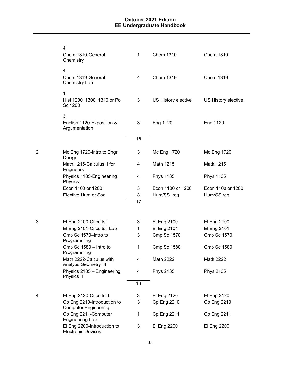|   | 4<br>Chem 1310-General<br>Chemistry                         | 1  | <b>Chem 1310</b>    | <b>Chem 1310</b>    |
|---|-------------------------------------------------------------|----|---------------------|---------------------|
|   | $\overline{4}$<br>Chem 1319-General<br><b>Chemistry Lab</b> | 4  | <b>Chem 1319</b>    | <b>Chem 1319</b>    |
|   | $\mathbf{1}$<br>Hist 1200, 1300, 1310 or Pol<br>Sc 1200     | 3  | US History elective | US History elective |
|   | 3<br>English 1120-Exposition &<br>Argumentation             | 3  | Eng 1120            | Eng 1120            |
|   |                                                             | 16 |                     |                     |
| 2 | Mc Eng 1720-Intro to Engr<br>Design                         | 3  | Mc Eng 1720         | Mc Eng 1720         |
|   | Math 1215-Calculus II for<br>Engineers                      | 4  | Math 1215           | Math 1215           |
|   | Physics 1135-Engineering<br>Physics I                       | 4  | <b>Phys 1135</b>    | <b>Phys 1135</b>    |
|   | Econ 1100 or 1200                                           | 3  | Econ 1100 or 1200   | Econ 1100 or 1200   |
|   | Elective-Hum or Soc                                         | 3  | Hum/SS req.         | Hum/SS req.         |
|   |                                                             | 17 |                     |                     |
| 3 | El Eng 2100-Circuits I                                      | 3  | El Eng 2100         | El Eng 2100         |
|   | El Eng 2101-Circuits I Lab                                  | 1  | El Eng 2101         | El Eng 2101         |
|   | Cmp Sc 1570-Intro to<br>Programming                         | 3  | <b>Cmp Sc 1570</b>  | <b>Cmp Sc 1570</b>  |
|   | Cmp Sc 1580 - Intro to<br>Programming                       | 1  | <b>Cmp Sc 1580</b>  | <b>Cmp Sc 1580</b>  |
|   | Math 2222-Calculus with<br><b>Analytic Geometry III</b>     | 4  | Math 2222           | Math 2222           |
|   | Physics 2135 - Engineering<br>Physics II                    | 4  | <b>Phys 2135</b>    | <b>Phys 2135</b>    |
|   |                                                             | 16 |                     |                     |
| 4 | El Eng 2120-Circuits II                                     | 3  | El Eng 2120         | El Eng 2120         |
|   | Cp Eng 2210-Introduction to<br><b>Computer Engineering</b>  | 3  | Cp Eng 2210         | Cp Eng 2210         |
|   | Cp Eng 2211-Computer<br><b>Engineering Lab</b>              | 1  | <b>Cp Eng 2211</b>  | <b>Cp Eng 2211</b>  |
|   | El Eng 2200-Introduction to<br><b>Electronic Devices</b>    | 3  | El Eng 2200         | El Eng 2200         |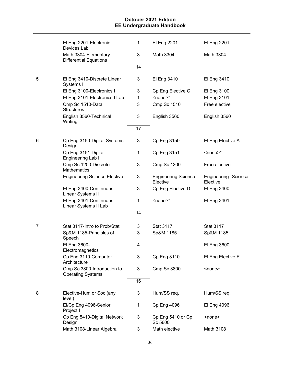|   | El Eng 2201-Electronic<br>Devices Lab                   | 1  | El Eng 2201                            | El Eng 2201                     |
|---|---------------------------------------------------------|----|----------------------------------------|---------------------------------|
|   | Math 3304-Elementary<br><b>Differential Equations</b>   | 3  | Math 3304                              | Math 3304                       |
|   |                                                         | 14 |                                        |                                 |
| 5 | El Eng 3410-Discrete Linear<br>Systems I                | 3  | El Eng 3410                            | El Eng 3410                     |
|   | El Eng 3100-Electronics I                               | 3  | Cp Eng Elective C                      | El Eng 3100                     |
|   | El Eng 3101-Electronics I Lab                           | 1  | $<$ none $>$ *                         | El Eng 3101                     |
|   | Cmp Sc 1510-Data<br><b>Structures</b>                   | 3  | <b>Cmp Sc 1510</b>                     | Free elective                   |
|   | English 3560-Technical<br>Writing                       | 3  | English 3560                           | English 3560                    |
|   |                                                         | 17 |                                        |                                 |
| 6 | Cp Eng 3150-Digital Systems<br>Design                   | 3  | Cp Eng 3150                            | El Eng Elective A               |
|   | Cp Eng 3151-Digital<br>Engineering Lab II               | 1  | Cp Eng 3151                            | $<$ none $>^*$                  |
|   | Cmp Sc 1200-Discrete<br><b>Mathematics</b>              | 3  | <b>Cmp Sc 1200</b>                     | Free elective                   |
|   | <b>Engineering Science Elective</b>                     | 3  | <b>Engineering Science</b><br>Elective | Engineering Science<br>Elective |
|   | El Eng 3400-Continuous<br>Linear Systems II             | 3  | Cp Eng Elective D                      | El Eng 3400                     |
|   | El Eng 3401-Continuous<br>Linear Systems II Lab         | 1  | $<$ none $>^*$                         | El Eng 3401                     |
|   |                                                         | 14 |                                        |                                 |
| 7 | Stat 3117-Intro to Prob/Stat                            | 3  | <b>Stat 3117</b>                       | <b>Stat 3117</b>                |
|   | Sp&M 1185-Principles of<br>Speech                       | 3  | Sp&M 1185                              | Sp&M 1185                       |
|   | El Eng 3600-<br>Electromagnetics                        | 4  |                                        | El Eng 3600                     |
|   | Cp Eng 3110-Computer<br>Architecture                    | 3  | Cp Eng 3110                            | El Eng Elective E               |
|   | Cmp Sc 3800-Introduction to<br><b>Operating Systems</b> | 3  | <b>Cmp Sc 3800</b>                     | <none></none>                   |
|   |                                                         | 16 |                                        |                                 |
| 8 | Elective-Hum or Soc (any<br>level)                      | 3  | Hum/SS req.                            | Hum/SS req.                     |
|   | El/Cp Eng 4096-Senior<br>Project I                      | 1  | Cp Eng 4096                            | El Eng 4096                     |
|   | Cp Eng 5410-Digital Network<br>Design                   | 3  | Cp Eng 5410 or Cp<br>Sc 5600           | <none></none>                   |
|   | Math 3108-Linear Algebra                                | 3  | Math elective                          | Math 3108                       |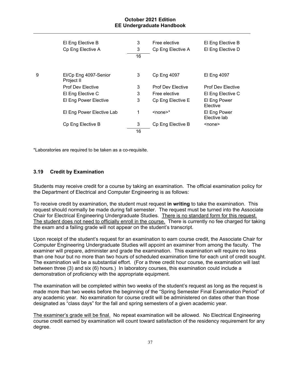|   | El Eng Elective B                   | 3  | Free elective            | El Eng Elective B            |
|---|-------------------------------------|----|--------------------------|------------------------------|
|   | Cp Eng Elective A                   | 3  | Cp Eng Elective A        | El Eng Elective D            |
|   |                                     | 16 |                          |                              |
|   |                                     |    |                          |                              |
| 9 | El/Cp Eng 4097-Senior<br>Project II | 3  | <b>Cp Eng 4097</b>       | El Eng 4097                  |
|   | <b>Prof Dev Elective</b>            | 3  | <b>Prof Dev Elective</b> | <b>Prof Dev Elective</b>     |
|   | El Eng Elective C                   | 3  | Free elective            | El Eng Elective C            |
|   | El Eng Power Elective               | 3  | Cp Eng Elective E        | El Eng Power<br>Elective     |
|   | El Eng Power Elective Lab           | 1  | $<$ none $>^*$           | El Eng Power<br>Elective lab |
|   | Cp Eng Elective B                   | 3  | Cp Eng Elective B        | <none></none>                |
|   |                                     | 16 |                          |                              |
|   |                                     |    |                          |                              |

\*Laboratories are required to be taken as a co-requisite.

# **3.19 Credit by Examination**

Students may receive credit for a course by taking an examination. The official examination policy for the Department of Electrical and Computer Engineering is as follows:

To receive credit by examination, the student must request **in writing** to take the examination. This request should normally be made during fall semester. The request must be turned into the Associate Chair for Electrical Engineering Undergraduate Studies. There is no standard form for this request. The student does not need to officially enroll in the course. There is currently no fee charged for taking the exam and a failing grade will not appear on the student's transcript.

Upon receipt of the student's request for an examination to earn course credit, the Associate Chair for Computer Engineering Undergraduate Studies will appoint an examiner from among the faculty. The examiner will prepare, administer and grade the examination. This examination will require no less than one hour but no more than two hours of scheduled examination time for each unit of credit sought. The examination will be a substantial effort. (For a three credit hour course, the examination will last between three (3) and six (6) hours.) In laboratory courses, this examination could include a demonstration of proficiency with the appropriate equipment.

The examination will be completed within two weeks of the student's request as long as the request is made more than two weeks before the beginning of the "Spring Semester Final Examination Period" of any academic year. No examination for course credit will be administered on dates other than those designated as "class days" for the fall and spring semesters of a given academic year.

The examiner's grade will be final. No repeat examination will be allowed. No Electrical Engineering course credit earned by examination will count toward satisfaction of the residency requirement for any degree.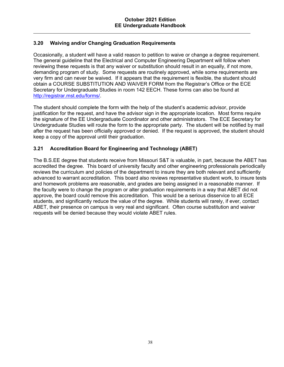# **3.20 Waiving and/or Changing Graduation Requirements**

Occasionally, a student will have a valid reason to petition to waive or change a degree requirement. The general guideline that the Electrical and Computer Engineering Department will follow when reviewing these requests is that any waiver or substitution should result in an equally, if not more, demanding program of study. Some requests are routinely approved, while some requirements are very firm and can never be waived. If it appears that the requirement is flexible, the student should obtain a COURSE SUBSTITUTION AND WAIVER FORM from the Registrar's Office or the ECE Secretary for Undergraduate Studies in room 142 EECH. These forms can also be found at http://registrar.mst.edu/forms/.

The student should complete the form with the help of the student's academic advisor, provide justification for the request, and have the advisor sign in the appropriate location. Most forms require the signature of the EE Undergraduate Coordinator and other administrators. The ECE Secretary for Undergraduate Studies will route the form to the appropriate party. The student will be notified by mail after the request has been officially approved or denied. If the request is approved, the student should keep a copy of the approval until their graduation.

# **3.21 Accreditation Board for Engineering and Technology (ABET)**

The B.S.EE degree that students receive from Missouri S&T is valuable, in part, because the ABET has accredited the degree. This board of university faculty and other engineering professionals periodically reviews the curriculum and policies of the department to insure they are both relevant and sufficiently advanced to warrant accreditation. This board also reviews representative student work, to insure tests and homework problems are reasonable, and grades are being assigned in a reasonable manner. If the faculty were to change the program or alter graduation requirements in a way that ABET did not approve, the board could remove this accreditation. This would be a serious disservice to all ECE students, and significantly reduce the value of the degree. While students will rarely, if ever, contact ABET, their presence on campus is very real and significant. Often course substitution and waiver requests will be denied because they would violate ABET rules.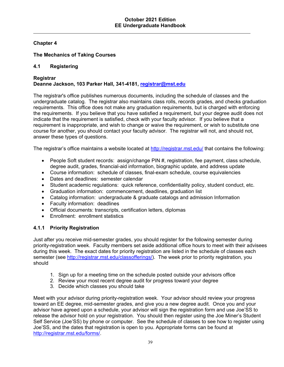# **Chapter 4**

# **The Mechanics of Taking Courses**

# **4.1 Registering**

# **Registrar Deanne Jackson, 103 Parker Hall, 341-4181, registrar@mst.edu**

The registrar's office publishes numerous documents, including the schedule of classes and the undergraduate catalog. The registrar also maintains class rolls, records grades, and checks graduation requirements. This office does not make any graduation requirements, but is charged with enforcing the requirements. If you believe that you have satisfied a requirement, but your degree audit does not indicate that the requirement is satisfied, check with your faculty advisor*.* If you believe that a requirement is inappropriate, and wish to change or waive the requirement, or wish to substitute one course for another, you should contact your faculty advisor*.* The registrar will not, and should not, answer these types of questions.

The registrar's office maintains a website located at http://registrar.mst.edu/ that contains the following:

- People Soft student records: assign/change PIN #, registration, fee payment, class schedule, degree audit, grades, financial-aid information, biographic update, and address update
- Course information: schedule of classes, final-exam schedule, course equivalencies
- Dates and deadlines: semester calendar
- Student academic regulations: quick reference, confidentiality policy, student conduct, etc.
- Graduation information: commencement, deadlines, graduation list
- Catalog information: undergraduate & graduate catalogs and admission Information
- Faculty information: deadlines
- Official documents: transcripts, certification letters, diplomas
- Enrollment: enrollment statistics

# **4.1.1 Priority Registration**

Just after you receive mid-semester grades, you should register for the following semester during priority-registration week. Faculty members set aside additional office hours to meet with their advisees during this week. The exact dates for priority registration are listed in the schedule of classes each semester (see http://registrar.mst.edu/classofferings/). The week prior to priority registration, you should

- 1. Sign up for a meeting time on the schedule posted outside your advisors office
- 2. Review your most recent degree audit for progress toward your degree
- 3. Decide which classes you should take

Meet with your advisor during priority-registration week. Your advisor should review your progress toward an EE degree, mid-semester grades, and give you a new degree audit. Once you and your advisor have agreed upon a schedule, your advisor will sign the registration form and use Joe'SS to release the advisor hold on your registration. You should then register using the Joe Miner's Student Self Service (Joe'SS) by phone or computer. See the schedule of classes to see how to register using Joe'SS, and the dates that registration is open to you. Appropriate forms can be found at http://registrar.mst.edu/forms/.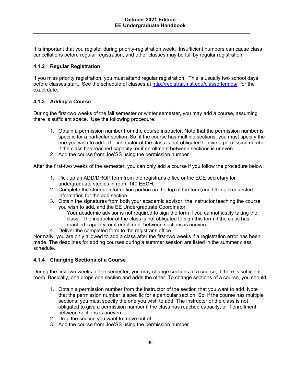It is important that you register during priority-registration week. Insufficient numbers can cause class cancellations before regular registration, and other classes may be full by regular registration.

# **4.1.2 Regular Registration**

If you miss priority registration, you must attend regular registration. This is usually two school days before classes start. See the schedule of classes at http://registrar.mst.edu/classofferings/ for the exact date.

# **4.1.3 Adding a Course**

During the first-two weeks of the fall semester or winter semester, you may add a course, assuming there is sufficient space. Use the following procedure:

- 1. Obtain a permission number from the course instructor. Note that the permission number is specific for a particular section. So, if the course has multiple sections, you must specify the one you wish to add. The instructor of the class is not obligated to give a permission number if the class has reached capacity, or if enrollment between sections is uneven.
- 2. Add the course from Joe'SS using the permission number.

After the first-two weeks of the semester, you can only add a course if you follow the procedure below:

- 1. Pick up an ADD/DROP form from the registrar's office or the ECE secretary for undergraduate studies in room 140 EECH.
- 2. Complete the student-information portion on the top of the form,and fill in all requested information for the add section.
- 3. Obtain the signatures from both your academic advisor, the instructor teaching the course you wish to add, and the EE Undergraduate Coordinator.

Your academic advisor is not required to sign the form if you cannot justify taking the class. The instructor of the class is not obligated to sign this form if the class has reached capacity, or if enrollment between sections is uneven.

4. Deliver the completed form to the registrar's office.

Normally, you are only allowed to add a class after the first-two weeks if a registration error has been made. The deadlines for adding courses during a summer session are listed in the summer class schedule.

#### **4.1.4 Changing Sections of a Course**

During the first-two weeks of the semester, you may change sections of a course, if there is sufficient room. Basically, one drops one section and adds the other. To change sections of a course, you should

- 1. Obtain a permission number from the instructor of the section that you want to add. Note that the permission number is specific for a particular section. So, if the course has multiple sections, you must specify the one you wish to add. The instructor of the class is not obligated to give a permission number if the class has reached capacity, or if enrollment between sections is uneven.
- 2. Drop the section you want to move out of.
- 3. Add the course from Joe'SS using the permission number.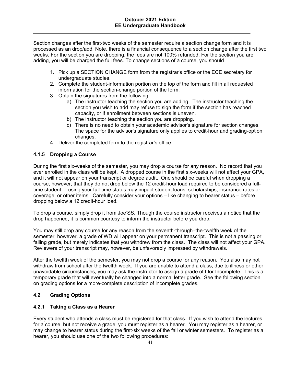Section changes after the first-two weeks of the semester require a section change form and it is processed as an drop/add. Note, there is a financial consequence to a section change after the first two weeks. For the section you are dropping, the fees are not 100% refunded. For the section you are adding, you will be charged the full fees. To change sections of a course, you should

- 1. Pick up a SECTION CHANGE form from the registrar's office or the ECE secretary for undergraduate studies.
- 2. Complete the student-information portion on the top of the form and fill in all requested information for the section-change portion of the form.
- 3. Obtain the signatures from the following:
	- a) The instructor teaching the section you are adding. The instructor teaching the section you wish to add may refuse to sign the form if the section has reached capacity, or if enrollment between sections is uneven.
	- b) The instructor teaching the section you are dropping.
	- c) There is no need to obtain your academic advisor's signature for section changes. The space for the advisor's signature only applies to credit-hour and grading-option changes.
- 4. Deliver the completed form to the registrar's office.

# **4.1.5 Dropping a Course**

During the first six-weeks of the semester, you may drop a course for any reason. No record that you ever enrolled in the class will be kept. A dropped course in the first six-weeks will not affect your GPA, and it will not appear on your transcript or degree audit. One should be careful when dropping a course, however, that they do not drop below the 12 credit-hour load required to be considered a fulltime student. Losing your full-time status may impact student loans, scholarships, insurance rates or coverage, or other items. Carefully consider your options – like changing to hearer status – before dropping below a 12 credit-hour load.

To drop a course, simply drop it from Joe'SS. Though the course instructor receives a notice that the drop happened, it is common courtesy to inform the instructor before you drop.

You may still drop any course for any reason from the seventh-through–the-twelfth week of the semester; however, a grade of WD will appear on your permanent transcript. This is not a passing or failing grade, but merely indicates that you withdrew from the class. The class will not affect your GPA. Reviewers of your transcript may, however, be unfavorably impressed by withdrawals.

After the twelfth week of the semester, you may not drop a course for any reason. You also may not withdraw from school after the twelfth week. If you are unable to attend a class, due to illness or other unavoidable circumstances, you may ask the instructor to assign a grade of I for Incomplete. This is a temporary grade that will eventually be changed into a normal letter grade. See the following section on grading options for a more-complete description of incomplete grades.

# **4.2 Grading Options**

#### **4.2.1 Taking a Class as a Hearer**

Every student who attends a class must be registered for that class. If you wish to attend the lectures for a course, but not receive a grade, you must register as a hearer. You may register as a hearer, or may change to hearer status during the first-six weeks of the fall or winter semesters. To register as a hearer, you should use one of the two following procedures: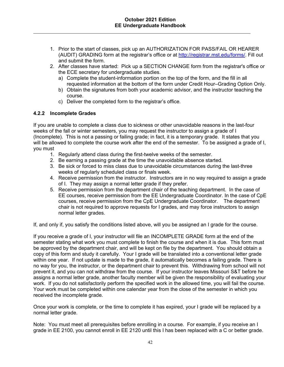- 1. Prior to the start of classes, pick up an AUTHORIZATION FOR PASS/FAIL OR HEARER (AUDIT) GRADING form at the registrar's office or at http://registrar.mst.edu/forms/. Fill out and submit the form.
- 2. After classes have started: Pick up a SECTION CHANGE form from the registrar's office or the ECE secretary for undergraduate studies.
	- a) Complete the student-information portion on the top of the form, and the fill in all requested information at the bottom of the form under Credit Hour–Grading Option Only.
	- b) Obtain the signatures from both your academic advisor, and the instructor teaching the course.
	- c) Deliver the completed form to the registrar's office.

# **4.2.2 Incomplete Grades**

If you are unable to complete a class due to sickness or other unavoidable reasons in the last-four weeks of the fall or winter semesters, you may request the instructor to assign a grade of I (Incomplete). This is not a passing or failing grade; in fact, it is a temporary grade. It states that you will be allowed to complete the course work after the end of the semester. To be assigned a grade of I, you must

- 1. Regularly attend class during the first-twelve weeks of the semester.
- 2. Be earning a passing grade at the time the unavoidable absence started.
- 3. Be sick or forced to miss class due to unavoidable circumstances during the last-three weeks of regularly scheduled class or finals week.
- 4. Receive permission from the instructor. Instructors are in no way required to assign a grade of I. They may assign a normal letter grade if they prefer.
- 5. Receive permission from the department chair of the teaching department. In the case of EE courses, receive permission from the EE Undergraduate Coordinator. In the case of CpE courses, receive permission from the CpE Undergraduate Coordinator. The department chair is not required to approve requests for I grades, and may force instructors to assign normal letter grades.

If, and only if, you satisfy the conditions listed above, will you be assigned an I grade for the course.

If you receive a grade of I, your instructor will file an INCOMPLETE GRADE form at the end of the semester stating what work you must complete to finish the course and when it is due. This form must be approved by the department chair, and will be kept on file by the department. You should obtain a copy of this form and study it carefully. Your I grade will be translated into a conventional letter grade within one year. If not update is made to the grade, it automatically becomes a failing grade. There is no way for you, the instructor, or the department chair to prevent this. Withdrawing from school will not prevent it, and you can not withdraw from the course. If your instructor leaves Missouri S&T before he assigns a normal letter grade, another faculty member will be given the responsibility of evaluating your work. If you do not satisfactorily perform the specified work in the allowed time, you will fail the course. Your work must be completed within one calendar year from the close of the semester in which you received the incomplete grade*.*

Once your work is complete, or the time to complete it has expired, your I grade will be replaced by a normal letter grade.

Note: You must meet all prerequisites before enrolling in a course. For example, if you receive an I grade in EE 2100, you cannot enroll in EE 2120 until this I has been replaced with a C or better grade.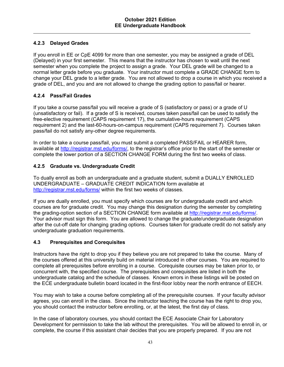# **4.2.3 Delayed Grades**

If you enroll in EE or CpE 4099 for more than one semester, you may be assigned a grade of DEL (Delayed) in your first semester. This means that the instructor has chosen to wait until the next semester when you complete the project to assign a grade. Your DEL grade will be changed to a normal letter grade before you graduate. Your instructor must complete a GRADE CHANGE form to change your DEL grade to a letter grade. You are not allowed to drop a course in which you received a grade of DEL, and you and are not allowed to change the grading option to pass/fail or hearer.

# **4.2.4 Pass/Fail Grades**

If you take a course pass/fail you will receive a grade of S (satisfactory or pass) or a grade of U (unsatisfactory or fail). If a grade of S is received, courses taken pass/fail can be used to satisfy the free-elective requirement (CAPS requirement 17), the cumulative-hours requirement (CAPS requirement 2) and the last-60-hours-on-campus requirement (CAPS requirement 7). Courses taken pass/fail do not satisfy any-other degree requirements.

In order to take a course pass/fail, you must submit a completed PASS/FAIL or HEARER form, available at http://registrar.mst.edu/forms/, to the registrar's office prior to the start of the semester or complete the lower portion of a SECTION CHANGE FORM during the first two weeks of class.

# **4.2.5 Graduate vs. Undergraduate Credit**

To dually enroll as both an undergraduate and a graduate student, submit a DUALLY ENROLLED UNDERGRADUATE – GRADUATE CREDIT INDICATION form available at http://registrar.mst.edu/forms/ within the first two weeks of classes.

If you are dually enrolled, you must specify which courses are for undergraduate credit and which courses are for graduate credit. You may change this designation during the semester by completing the grading-option section of a SECTION CHANGE form available at http://registrar.mst.edu/forms/. Your advisor must sign this form. You are allowed to change the graduate/undergraduate designation after the cut-off date for changing grading options. Courses taken for graduate credit do not satisfy any undergraduate graduation requirements.

# **4.3 Prerequisites and Corequisites**

Instructors have the right to drop you if they believe you are not prepared to take the course. Many of the courses offered at this university build on material introduced in other courses. You are required to complete all prerequisites before enrolling in a course. Corequisite courses may be taken prior to, or concurrent with, the specified course. The prerequisites and corequisites are listed in both the undergraduate catalog and the schedule of classes. Known errors in these listings will be posted on the ECE undergraduate bulletin board located in the first-floor lobby near the north entrance of EECH.

You may wish to take a course before completing all of the prerequisite courses. If your faculty advisor agrees, you can enroll in the class. Since the instructor teaching the course has the right to drop you, you should contact the instructor before enrolling, or, at the latest, the first day of class.

In the case of laboratory courses, you should contact the ECE Associate Chair for Laboratory Development for permission to take the lab without the prerequisites. You will be allowed to enroll in, or complete, the course if this assistant chair decides that you are properly prepared. If you are not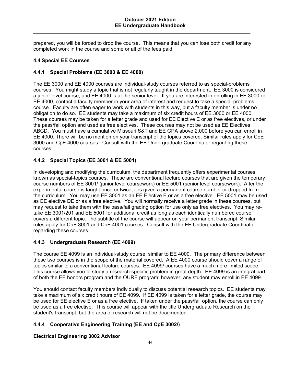prepared, you will be forced to drop the course. This means that you can lose both credit for any completed work in the course and some or all of the fees paid.

# **4.4 Special EE Courses**

# **4.4.1 Special Problems (EE 3000 & EE 4000)**

The EE 3000 and EE 4000 courses are individual-study courses referred to as special-problems courses. You might study a topic that is not regularly taught in the department. EE 3000 is considered a junior level course, and EE 4000 is at the senior level. If you are interested in enrolling in EE 3000 or EE 4000, contact a faculty member in your area of interest and request to take a special-problems course. Faculty are often eager to work with students in this way, but a faculty member is under no obligation to do so. EE students may take a maximum of six credit hours of EE 3000 or EE 4000. These courses may be taken for a letter grade and used for EE Elective E or as free electives, or under the pass/fail option and used as free electives. These courses may not be used as EE Electives ABCD. You must have a cumulative Missouri S&T and EE GPA above 2.000 before you can enroll in EE 4000. There will be no mention on your transcript of the topics covered. Similar rules apply for CpE 3000 and CpE 4000 courses. Consult with the EE Undergraduate Coordinator regarding these courses.

# **4.4.2 Special Topics (EE 3001 & EE 5001)**

In developing and modifying the curriculum, the department frequently offers experimental courses known as special-topics courses. These are conventional lecture courses that are given the temporary course numbers of EE 3001/ (junior level coursework) or EE 5001 (senior level coursework). After the experimental course is taught once or twice, it is given a permanent course number or dropped from the curriculum. You may use EE 3001 as an EE Elective E or as a free elective. EE 5001 may be used as EE elective DE or as a free elective. You will normally receive a letter grade in these courses, but may request to take them with the pass/fail grading option for use only as free electives. You may retake EE 3001/201 and EE 5001 for additional credit as long as each identically numbered course covers a different topic. The subtitle of the course will appear on your permanent transcript. Similar rules apply for CpE 3001 and CpE 4001 courses. Consult with the EE Undergraduate Coordinator regarding these courses.

#### **4.4.3 Undergraduate Research (EE 4099)**

The course EE 4099 is an individual-study course, similar to EE 4000. The primary difference between these two courses is in the scope of the material covered. A EE 4000 course should cover a range of topics similar to a conventional lecture courses. EE 4099/ courses have a much more limited scope. This course allows you to study a research-specific problem in great depth. EE 4099 is an integral part of both the EE honors program and the OURE program; however, any student may enroll in EE 4099.

You should contact faculty members individually to discuss potential research topics. EE students may take a maximum of six credit hours of EE 4099. If EE 4099 is taken for a letter grade, the course may be used for EE elective E or as a free elective. If taken under the pass/fail option, the course can only be used as a free elective. This course will appear with the title Undergraduate Research on the student's transcript, but the area of research will not be documented.

# **4.4.4 Cooperative Engineering Training (EE and CpE 3002/)**

# **Electrical Engineering 3002 Advisor**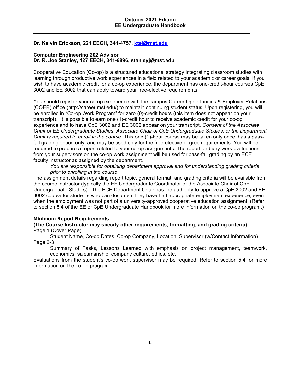# **Dr. Kelvin Erickson, 221 EECH, 341-4757, ktei@mst.edu**

#### **Computer Engineering 202 Advisor Dr. R. Joe Stanley, 127 EECH, 341-6896, stanleyj@mst.edu**

Cooperative Education (Co-op) is a structured educational strategy integrating classroom studies with learning through productive work experiences in a field related to your academic or career goals. If you wish to have academic credit for a co-op experience, the department has one-credit-hour courses CpE 3002 and EE 3002 that can apply toward your free-elective requirements.

You should register your co-op experience with the campus Career Opportunities & Employer Relations (COER) office (http://career.mst.edu/) to maintain continuing student status. Upon registering, you will be enrolled in "Co-op Work Program" for zero (0)-credit hours (this item does not appear on your transcript). It is possible to earn one (1)-credit hour to receive academic credit for your co-op experience and to have CpE 3002 and EE 3002 appear on your transcript. *Consent of the Associate Chair of EE Undergraduate Studies, Associate Chair of CpE Undergraduate Studies, or the Department Chair is required to enroll in the course.* This one (1)-hour course may be taken only once, has a passfail grading option only, and may be used only for the free-elective degree requirements. You will be required to prepare a report related to your co-op assignments. The report and any work evaluations from your supervisors on the co-op work assignment will be used for pass-fail grading by an ECE faculty instructor as assigned by the department.

*You are responsible for obtaining department approval and for understanding grading criteria prior to enrolling in the course.*

The assignment details regarding report topic, general format, and grading criteria will be available from the course instructor (typically the EE Undergraduate Coordinator or the Associate Chair of CpE Undergraduate Studies). The ECE Department Chair has the authority to approve a CpE 3002 and EE 3002 course for students who can document they have had appropriate employment experience, even when the employment was not part of a university-approved cooperative education assignment. (Refer to section 5.4 of the EE or CpE Undergraduate Handbook for more information on the co-op program.)

#### **Minimum Report Requirements**

#### **(The Course Instructor may specify other requirements, formatting, and grading criteria):**  Page 1 (Cover Page)

Student Name, Co-op Dates, Co-op Company, Location, Supervisor (w/Contact Information) Page 2-3

Summary of Tasks, Lessons Learned with emphasis on project management, teamwork, economics, salesmanship, company culture, ethics, etc.

Evaluations from the student's co-op work supervisor may be required. Refer to section 5.4 for more information on the co-op program*.*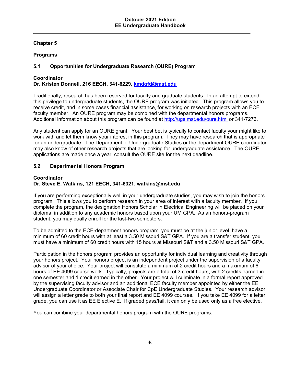# **Chapter 5**

# **Programs**

# **5.1 Opportunities for Undergraduate Research (OURE) Program**

# **Coordinator**

# **Dr. Kristen Donnell, 216 EECH, 341-6229, kmdgfd@mst.edu**

Traditionally, research has been reserved for faculty and graduate students. In an attempt to extend this privilege to undergraduate students, the OURE program was initiated. This program allows you to receive credit, and in some cases financial assistance, for working on research projects with an ECE faculty member. An OURE program may be combined with the departmental honors programs. Additional information about this program can be found at http://ugs.mst.edu/oure.html or 341-7276.

Any student can apply for an OURE grant. Your best bet is typically to contact faculty your might like to work with and let them know your interest in this program. They may have research that is appropriate for an undergraduate. The Department of Undergraduate Studies or the department OURE coordinator may also know of other research projects that are looking for undergraduate assistance. The OURE applications are made once a year; consult the OURE site for the next deadline.

# **5.2 Departmental Honors Program**

#### **Coordinator Dr. Steve E. Watkins, 121 EECH, 341-6321, watkins@mst.edu**

If you are performing exceptionally well in your undergraduate studies, you may wish to join the honors program. This allows you to perform research in your area of interest with a faculty member. If you complete the program, the designation Honors Scholar in Electrical Engineering will be placed on your diploma, in addition to any academic honors based upon your UM GPA. As an honors-program student, you may dually enroll for the last-two semesters.

To be admitted to the ECE-department honors program, you must be at the junior level, have a minimum of 60 credit hours with at least a 3.50 Missouri S&T GPA. If you are a transfer student, you must have a minimum of 60 credit hours with 15 hours at Missouri S&T and a 3.50 Missouri S&T GPA.

Participation in the honors program provides an opportunity for individual learning and creativity through your honors project. Your honors project is an independent project under the supervision of a faculty advisor of your choice. Your project will constitute a minimum of 2 credit hours and a maximum of 6 hours of EE 4099 course work. Typically, projects are a total of 3 credit hours, with 2 credits earned in one semester and 1 credit earned in the other. Your project will culminate in a formal report approved by the supervising faculty advisor and an additional ECE faculty member appointed by either the EE Undergraduate Coordinator or Associate Chair for CpE Undergraduate Studies. Your research advisor will assign a letter grade to both your final report and EE 4099 courses. If you take EE 4099 for a letter grade, you can use it as EE Elective E. If graded pass/fail, it can only be used only as a free elective.

You can combine your departmental honors program with the OURE programs.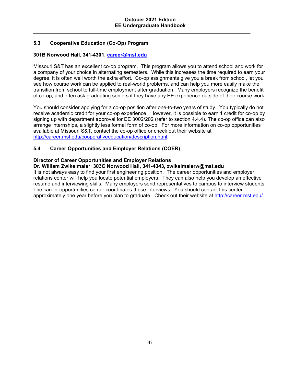# **5.3 Cooperative Education (Co-Op) Program**

# **301B Norwood Hall, 341-4301, career@mst.edu**

Missouri S&T has an excellent co-op program. This program allows you to attend school and work for a company of your choice in alternating semesters. While this increases the time required to earn your degree, it is often well worth the extra effort. Co-op assignments give you a break from school, let you see how course work can be applied to real-world problems, and can help you more easily make the transition from school to full-time employment after graduation. Many employers recognize the benefit of co-op, and often ask graduating seniors if they have any EE experience outside of their course work.

You should consider applying for a co-op position after one-to-two years of study. You typically do not receive academic credit for your co-op experience. However, it is possible to earn 1 credit for co-op by signing up with department approval for EE 3002/202 (refer to section 4.4.4). The co-op office can also arrange internships, a slightly less formal form of co-op. For more information on co-op opportunities available at Missouri S&T, contact the co-op office or check out their website at http://career.mst.edu/cooperativeeducation/description.html.

# **5.4 Career Opportunities and Employer Relations (COER)**

# **Director of Career Opportunities and Employer Relations**

#### **Dr. William Zwikelmaier 303C Norwood Hall, 341-4343, zwikelmaierw@mst.edu**

It is not always easy to find your first engineering position. The career opportunities and employer relations center will help you locate potential employers. They can also help you develop an effective resume and interviewing skills. Many employers send representatives to campus to interview students. The career opportunities center coordinates these interviews. You should contact this center approximately one year before you plan to graduate. Check out their website at http://career.mst.edu/.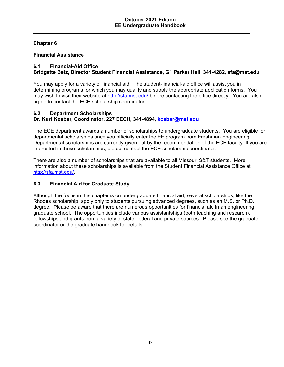# **Chapter 6**

#### **Financial Assistance**

# **6.1 Financial-Aid Office**

# **Bridgette Betz, Director Student Financial Assistance, G1 Parker Hall, 341-4282, sfa@mst.edu**

You may apply for a variety of financial aid. The student-financial-aid office will assist you in determining programs for which you may qualify and supply the appropriate application forms. You may wish to visit their website at http://sfa.mst.edu/ before contacting the office directly*.* You are also urged to contact the ECE scholarship coordinator.

#### **6.2 Department Scholarships Dr. Kurt Kosbar, Coordinator, 227 EECH, 341-4894, kosbar@mst.edu**

The ECE department awards a number of scholarships to undergraduate students. You are eligible for departmental scholarships once you officially enter the EE program from Freshman Engineering. Departmental scholarships are currently given out by the recommendation of the ECE faculty. If you are interested in these scholarships, please contact the ECE scholarship coordinator.

There are also a number of scholarships that are available to all Missouri S&T students. More information about these scholarships is available from the Student Financial Assistance Office at http://sfa.mst.edu/.

# **6.3 Financial Aid for Graduate Study**

Although the focus in this chapter is on undergraduate financial aid, several scholarships, like the Rhodes scholarship, apply only to students pursuing advanced degrees, such as an M.S. or Ph.D. degree. Please be aware that there are numerous opportunities for financial aid in an engineering graduate school. The opportunities include various assistantships (both teaching and research), fellowships and grants from a variety of state, federal and private sources. Please see the graduate coordinator or the graduate handbook for details.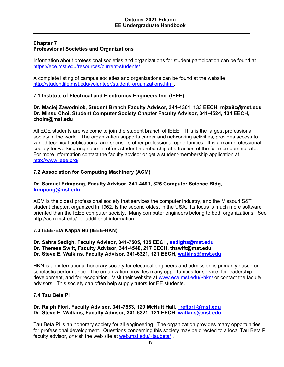#### **Chapter 7 Professional Societies and Organizations**

Information about professional societies and organizations for student participation can be found at https://ece.mst.edu/resources/current-students/

A complete listing of campus societies and organizations can be found at the website http://studentlife.mst.edu/volunteer/student\_organizations.html.

# **7.1 Institute of Electrical and Electronics Engineers Inc. (IEEE)**

#### **Dr. Maciej Zawodniok, Student Branch Faculty Advisor, 341-4361, 133 EECH, mjzx9c@mst.edu Dr. Minsu Choi, Student Computer Society Chapter Faculty Advisor, 341-4524, 134 EECH, choim@mst.edu**

All ECE students are welcome to join the student branch of IEEE. This is the largest professional society in the world. The organization supports career and networking activities, provides access to varied technical publications, and sponsors other professional opportunities. It is a main professional society for working engineers; it offers student membership at a fraction of the full membership rate. For more information contact the faculty advisor or get a student-membership application at http://www.ieee.org/*.*

# **7.2 Association for Computing Machinery (ACM)**

#### **Dr. Samuel Frimpong, Faculty Advisor, 341-4491, 325 Computer Science Bldg, frimpong@mst.edu**

ACM is the oldest professional society that services the computer industry, and the Missouri S&T student chapter, organized in 1962, is the second oldest in the USA. Its focus is much more software oriented than the IEEE computer society. Many computer engineers belong to both organizations. See http://acm.mst.edu/ for additional information.

#### **7.3 IEEE-Eta Kappa Nu (IEEE-HKN)**

#### **Dr. Sahra Sedigh, Faculty Advisor, 341-7505, 135 EECH, sedighs@mst.edu Dr. Theresa Swift, Faculty Advisor, 341-4540, 217 EECH, thswift@mst.edu Dr. Steve E. Watkins, Faculty Advisor, 341-6321, 121 EECH, watkins@mst.edu**

HKN is an international honorary society for electrical engineers and admission is primarily based on scholastic performance. The organization provides many opportunities for service, for leadership development, and for recognition. Visit their website at www.ece.mst.edu/~hkn/ or contact the faculty advisors. This society can often help supply tutors for EE students.

#### **7.4 Tau Beta Pi**

#### **Dr. Ralph Flori, Faculty Advisor, 341-7583, 129 McNutt Hall, reflori @mst.edu Dr. Steve E. Watkins, Faculty Advisor, 341-6321, 121 EECH, watkins@mst.edu**

Tau Beta Pi is an honorary society for all engineering. The organization provides many opportunities for professional development. Questions concerning this society may be directed to a local Tau Beta Pi faculty advisor, *or v*isit the web site at web.mst.edu/~taubeta/ .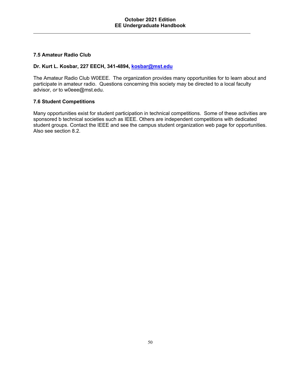# **7.5 Amateur Radio Club**

#### **Dr. Kurt L. Kosbar, 227 EECH, 341-4894, kosbar@mst.edu**

The Amateur Radio Club W0EEE. The organization provides many opportunities for to learn about and participate in amateur radio. Questions concerning this society may be directed to a local faculty advisor, *or* to w0eee@mst.edu.

#### **7.6 Student Competitions**

Many opportunities exist for student participation in technical competitions. Some of these activities are sponsored b technical societies such as IEEE. Others are independent competitions with dedicated student groups. Contact the IEEE and see the campus student organization web page for opportunities. Also see section 8.2.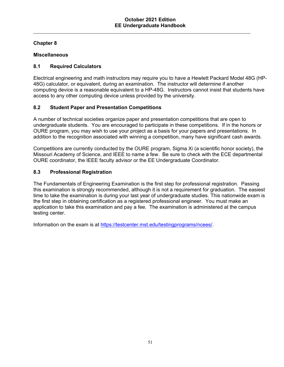# **Chapter 8**

# **Miscellaneous**

# **8.1 Required Calculators**

Electrical engineering and math instructors may require you to have a Hewlett Packard Model 48G (HP-48G) calculator, or equivalent, during an examination. The instructor will determine if another computing device is a reasonable equivalent to a HP-48G. Instructors cannot insist that students have access to any other computing device unless provided by the university.

# **8.2 Student Paper and Presentation Competitions**

A number of technical societies organize paper and presentation competitions that are open to undergraduate students. You are encouraged to participate in these competitions. If in the honors or OURE program, you may wish to use your project as a basis for your papers and presentations. In addition to the recognition associated with winning a competition, many have significant cash awards.

Competitions are currently conducted by the OURE program, Sigma Xi (a scientific honor society), the Missouri Academy of Science, and IEEE to name a few. Be sure to check with the ECE departmental OURE coordinator, the IEEE faculty advisor or the EE Undergraduate Coordinator.

# **8.3 Professional Registration**

The Fundamentals of Engineering Examination is the first step for professional registration. Passing this examination is strongly recommended, although it is not a requirement for graduation. The easiest time to take the examination is during your last year of undergraduate studies. This nationwide exam is the first step in obtaining certification as a registered professional engineer. You must make an application to take this examination and pay a fee. The examination is administered at the campus testing center.

Information on the exam is at https://testcenter.mst.edu/testingprograms/ncees/.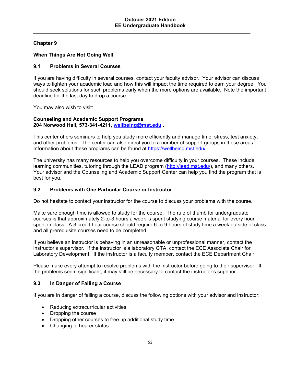# **Chapter 9**

# **When Things Are Not Going Well**

#### **9.1 Problems in Several Courses**

If you are having difficulty in several courses, contact your faculty advisor. Your advisor can discuss ways to lighten your academic load and how this will impact the time required to earn your degree. You should seek solutions for such problems early when the more options are available. Note the important deadline for the last day to drop a course.

You may also wish to visit:

#### **Counseling and Academic Support Programs 204 Norwood Hall, 573-341-4211, wellbeing@mst.edu** .

This center offers seminars to help you study more efficiently and manage time, stress, test anxiety, and other problems. The center can also direct you to a number of support groups in these areas. Information about these programs can be found at https://wellbeing.mst.edu/.

The university has many resources to help you overcome difficulty in your courses. These include learning communities, tutoring through the LEAD program (http://lead.mst.edu/), and many others. Your advisor and the Counseling and Academic Support Center can help you find the program that is best for you.

#### **9.2 Problems with One Particular Course or Instructor**

Do not hesitate to contact your instructor for the course to discuss your problems with the course.

Make sure enough time is allowed to study for the course. The rule of thumb for undergraduate courses is that approximately 2-to-3 hours a week is spent studying course material for every hour spent in class. A 3 credit-hour course should require 6-to-9 hours of study time a week outside of class and all prerequisite courses need to be completed.

If you believe an instructor is behaving in an unreasonable or unprofessional manner, contact the instructor's supervisor. If the instructor is a laboratory GTA, contact the ECE Associate Chair for Laboratory Development. If the instructor is a faculty member, contact the ECE Department Chair.

Please make every attempt to resolve problems with the instructor before going to their supervisor. If the problems seem significant, it may still be necessary to contact the instructor's superior.

#### **9.3 In Danger of Failing a Course**

If you are in danger of failing a course, discuss the following options with your advisor and instructor:

- Reducing extracurricular activities
- Dropping the course
- Dropping other courses to free up additional study time
- Changing to hearer status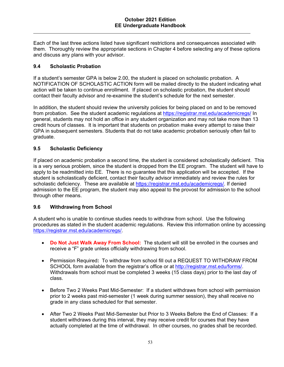Each of the last three actions listed have significant restrictions and consequences associated with them. Thoroughly review the appropriate sections in Chapter 4 before selecting any of these options and discuss any plans with your advisor.

# **9.4 Scholastic Probation**

If a student's semester GPA is below 2.00, the student is placed on scholastic probation. A NOTIFICATION OF SCHOLASTIC ACTION form will be mailed directly to the student indicating what action will be taken to continue enrollment. If placed on scholastic probation, the student should contact their faculty advisor and re-examine the student's schedule for the next semester.

In addition, the student should review the university policies for being placed on and to be removed from probation. See the student academic regulations at https://registrar.mst.edu/academicregs/ In general, students may not hold an office in any student organization and may not take more than 13 credit hours of classes. It is important that students on probation make every attempt to raise their GPA in subsequent semesters. Students that do not take academic probation seriously often fail to graduate.

# **9.5 Scholastic Deficiency**

If placed on academic probation a second time, the student is considered scholastically deficient. This is a very serious problem, since the student is dropped from the EE program. The student will have to apply to be readmitted into EE. There is no guarantee that this application will be accepted. If the student is scholastically deficient, contact their faculty advisor immediately and review the rules for scholastic deficiency. These are available at https://registrar.mst.edu/academicregs/. If denied admission to the EE program, the student may also appeal to the provost for admission to the school through other means.

#### **9.6 Withdrawing from School**

A student who is unable to continue studies needs to withdraw from school. Use the following procedures as stated in the student academic regulations. Review this information online by accessing https://registrar.mst.edu/academicregs/.

- **Do Not Just Walk Away From School:** The student will still be enrolled in the courses and receive a "F" grade unless officially withdrawing from school.
- Permission Required**:** To withdraw from school fill out a REQUEST TO WITHDRAW FROM SCHOOL form available from the registrar's office or at http://registrar.mst.edu/forms/. Withdrawals from school must be completed 3 weeks (15 class days) prior to the last day of class.
- Before Two 2 Weeks Past Mid-Semester: If a student withdraws from school with permission prior to 2 weeks past mid-semester (1 week during summer session), they shall receive no grade in any class scheduled for that semester.
- After Two 2 Weeks Past Mid-Semester but Prior to 3 Weeks Before the End of Classes: If a student withdraws during this interval, they may receive credit for courses that they have actually completed at the time of withdrawal. In other courses, no grades shall be recorded.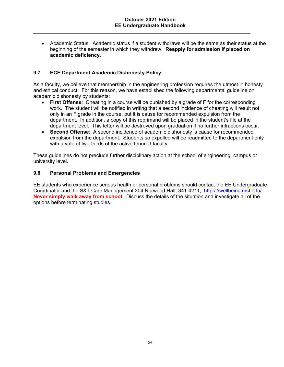Academic Status: Academic status if a student withdraws will be the same as their status at the beginning of the semester in which they withdrew. **Reapply for admission if placed on academic deficiency**.

# **9.7 ECE Department Academic Dishonesty Policy**

As a faculty, we believe that membership in the engineering profession requires the utmost in honesty and ethical conduct. For this reason, we have established the following departmental guideline on academic dishonesty by students:

- **First Offense**: Cheating in a course will be punished by a grade of F for the corresponding work. The student will be notified in writing that a second incidence of cheating will result not only in an F grade in the course, but it is cause for recommended expulsion from the department. In addition, a copy of this reprimand will be placed in the student's file at the department level. This letter will be destroyed upon graduation if no further infractions occur.
- **Second Offense**: A second incidence of academic dishonesty is cause for recommended expulsion from the department. Students so expelled will be readmitted to the department only with a vote of two-thirds of the active tenured faculty.

These guidelines do not preclude further disciplinary action at the school of engineering, campus or university level.

#### **9.8 Personal Problems and Emergencies**

EE students who experience serious health or personal problems should contact the EE Undergraduate Coordinator and the S&T Care Management 204 Norwood Hall, 341-4211, https://wellbeing.mst.edu/. **Never simply walk away from school**. Discuss the details of the situation and investigate all of the options before terminating studies.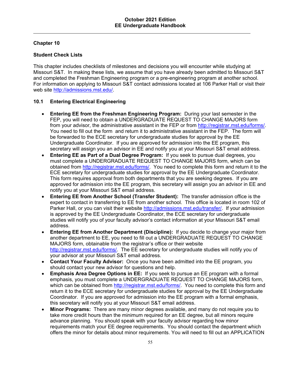# **Chapter 10**

# **Student Check Lists**

This chapter includes checklists of milestones and decisions you will encounter while studying at Missouri S&T. In making these lists, we assume that you have already been admitted to Missouri S&T and completed the Freshman Engineering program or a pre-engineering program at another school. For information on applying to Missouri S&T contact admissions located at 106 Parker Hall or visit their web site http://admissions.mst.edu/.

# **10.1 Entering Electrical Engineering**

- **Entering EE from the Freshman Engineering Program:** During your last semester in the FEP, you will need to obtain a UNDERGRADUATE REQUEST TO CHANGE MAJORS form from your advisor, the administrative assistant in the FEP or from http://registrar.mst.edu/forms/. You need to fill out the form and return it to administrative assistant in the FEP. The form will be forwarded to the ECE secretary for undergraduate studies for approval by the EE Undergraduate Coordinator. If you are approved for admission into the EE program, this secretary will assign you an advisor in EE and notify you at your Missouri S&T email address.
- **Entering EE as Part of a Dual Degree Program:** If you seek to pursue dual degrees, you must complete a UNDERGRADUATE REQUEST TO CHANGE MAJORS form, which can be obtained from http://registrar.mst.edu/forms/. You need to complete this form and return it to the ECE secretary for undergraduate studies for approval by the EE Undergraduate Coordinator. This form requires approval from both departments that you are seeking degrees. If you are approved for admission into the EE program, this secretary will assign you an advisor in EE and notify you at your Missouri S&T email address.
- **Entering EE from Another School (Transfer Student):** The transfer admission office is the expert to contact in transferring to EE from another school. This office is located in room 102 of Parker Hall, or you can visit their website http://admissions.mst.edu/transfer/. If your admission is approved by the EE Undergraduate Coordinator, the ECE secretary for undergraduate studies will notify you of your faculty advisor's contact information at your Missouri S&T email address.
- **Entering EE from Another Department (Discipline):** If you decide to change your major from another department to EE, you need to fill out a UNDERGRADUATE REQUEST TO CHANGE MAJORS form, obtainable from the registrar's office or their website http://registrar.mst.edu/forms/. The EE secretary for undergraduate studies will notify you of your advisor at your Missouri S&T email address.
- **Contact Your Faculty Advisor:** Once you have been admitted into the EE program, you should contact your new advisor for questions and help.
- **Emphasis Area Degree Options in EE:** If you seek to pursue an EE program with a formal emphasis, you must complete a UNDERGRADUATE REQUEST TO CHANGE MAJORS form, which can be obtained from http://registrar.mst.edu/forms/. You need to complete this form and return it to the ECE secretary for undergraduate studies for approval by the EE Undergraduate Coordinator. If you are approved for admission into the EE program with a formal emphasis, this secretary will notify you at your Missouri S&T email address.
- **Minor Programs:** There are many minor degrees available, and many do not require you to take more credit hours than the minimum required for an EE degree, but all minors require advance planning. You should speak with your faculty advisor regarding how minor requirements match your EE degree requirements. You should contact the department which offers the minor for details about minor requirements. You will need to fill out an APPLICATION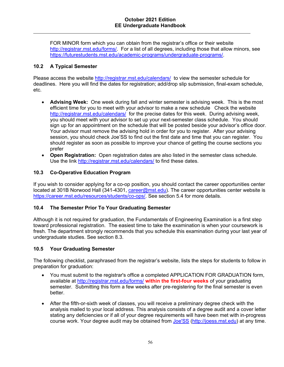FOR MINOR form which you can obtain from the registrar's office or their website http://registrar.mst.edu/forms/. For a list of all degrees, including those that allow minors, see https://futurestudents.mst.edu/academic-programs/undergraduate-programs/.

# **10.2 A Typical Semester**

Please access the website http://registrar.mst.edu/calendars/ to view the semester schedule for deadlines. Here you will find the dates for registration; add/drop slip submission, final-exam schedule, etc.

- **Advising Week:** One week during fall and winter semester is advising week. This is the most efficient time for you to meet with your advisor to make a new schedule Check the website http://registrar.mst.edu/calendars/ for the precise dates for this week. During advising week, you should meet with your advisor to set up your next-semester class schedule. You should sign up for an appointment on the schedule that will be posted beside your advisor's office door. Your advisor must remove the advising hold in order for you to register. After your advising session, you should check Joe'SS to find out the first date and time that you can register. You should register as soon as possible to improve your chance of getting the course sections you prefer
- **Open Registration:** Open registration dates are also listed in the semester class schedule. Use the link http://registrar.mst.edu/calendars/ to find these dates.

# **10.3 Co-Operative Education Program**

If you wish to consider applying for a co-op position, you should contact the career opportunities center located at 301B Norwood Hall (341-4301, career@mst.edu). The career opportunities center website is https://career.mst.edu/resources/students/co-ops/. See section 5.4 for more details.

# **10.4 The Semester Prior To Your Graduating Semester**

Although it is not required for graduation, the Fundamentals of Engineering Examination is a first step toward professional registration. The easiest time to take the examination is when your coursework is fresh. The department strongly recommends that you schedule this examination during your last year of undergraduate studies. See section 8.3.

#### **10.5 Your Graduating Semester**

The following checklist, paraphrased from the registrar's website, lists the steps for students to follow in preparation for graduation:

- You must submit to the registrar's office a completed APPLICATION FOR GRADUATION form, available at http://registrar.mst.edu/forms/ **within the first-four weeks** of your graduating semester. Submitting this form a few weeks after pre-registering for the final semester is even better.
- After the fifth-or-sixth week of classes, you will receive a preliminary degree check with the analysis mailed to your local address. This analysis consists of a degree audit and a cover letter stating any deficiencies or if all of your degree requirements will have been met with in-progress course work. Your degree audit may be obtained from Joe'SS (http://joess.mst.edu) at any time.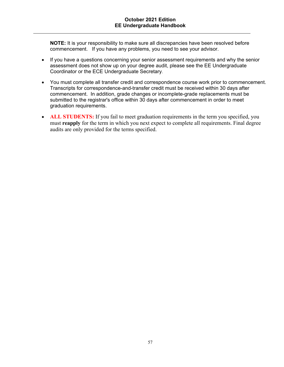**NOTE:** It is your responsibility to make sure all discrepancies have been resolved before commencement. If you have any problems, you need to see your advisor.

- If you have a questions concerning your senior assessment requirements and why the senior assessment does not show up on your degree audit, please see the EE Undergraduate Coordinator or the ECE Undergraduate Secretary.
- You must complete all transfer credit and correspondence course work prior to commencement. Transcripts for correspondence-and-transfer credit must be received within 30 days after commencement. In addition, grade changes or incomplete-grade replacements must be submitted to the registrar's office within 30 days after commencement in order to meet graduation requirements.
- **ALL STUDENTS:** If you fail to meet graduation requirements in the term you specified, you must **reapply** for the term in which you next expect to complete all requirements. Final degree audits are only provided for the terms specified.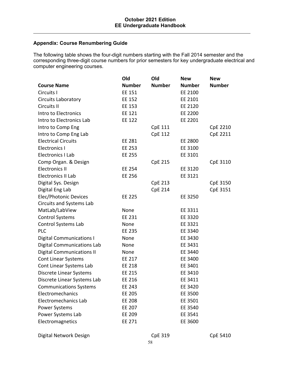# **Appendix: Course Renumbering Guide**

The following table shows the four-digit numbers starting with the Fall 2014 semester and the corresponding three-digit course numbers for prior semesters for key undergraduate electrical and computer engineering courses.

|                                   | Old           | Old            | <b>New</b>    | <b>New</b>      |
|-----------------------------------|---------------|----------------|---------------|-----------------|
| <b>Course Name</b>                | <b>Number</b> | <b>Number</b>  | <b>Number</b> | <b>Number</b>   |
| Circuits I                        | EE 151        |                | EE 2100       |                 |
| <b>Circuits Laboratory</b>        | EE 152        |                | EE 2101       |                 |
| Circuits II                       | EE 153        |                | EE 2120       |                 |
| Intro to Electronics              | EE 121        |                | EE 2200       |                 |
| Intro to Electronics Lab          | <b>EE 122</b> |                | EE 2201       |                 |
| Intro to Comp Eng                 |               | <b>CpE 111</b> |               | <b>CpE 2210</b> |
| Intro to Comp Eng Lab             |               | <b>CpE 112</b> |               | CpE 2211        |
| <b>Electrical Circuits</b>        | <b>EE 281</b> |                | EE 2800       |                 |
| <b>Electronics I</b>              | EE 253        |                | EE 3100       |                 |
| Electronics I Lab                 | EE 255        |                | EE 3101       |                 |
| Comp Organ. & Design              |               | <b>CpE 215</b> |               | CpE 3110        |
| <b>Electronics II</b>             | EE 254        |                | EE 3120       |                 |
| Electronics II Lab                | EE 256        |                | EE 3121       |                 |
| Digital Sys. Design               |               | <b>CpE 213</b> |               | CpE 3150        |
| Digital Eng Lab                   |               | <b>CpE 214</b> |               | CpE 3151        |
| Elec/Photonic Devices             | EE 225        |                | EE 3250       |                 |
| <b>Circuits and Systems Lab</b>   |               |                |               |                 |
| MatLab/LabView                    | None          |                | EE 3311       |                 |
| <b>Control Systems</b>            | <b>EE 231</b> |                | EE 3320       |                 |
| Control Systems Lab               | None          |                | EE 3321       |                 |
| <b>PLC</b>                        | <b>EE 235</b> |                | EE 3340       |                 |
| <b>Digital Communications I</b>   | None          |                | EE 3430       |                 |
| <b>Digital Communications Lab</b> | None          |                | EE 3431       |                 |
| <b>Digital Communications II</b>  | None          |                | EE 3440       |                 |
| <b>Cont Linear Systems</b>        | EE 217        |                | EE 3400       |                 |
| Cont Linear Systems Lab           | <b>EE 218</b> |                | EE 3401       |                 |
| Discrete Linear Systems           | EE 215        |                | EE 3410       |                 |
| Discrete Linear Systems Lab       | EE 216        |                | EE 3411       |                 |
| <b>Communications Systems</b>     | <b>EE 243</b> |                | EE 3420       |                 |
| Electromechanics                  | <b>EE 205</b> |                | EE 3500       |                 |
| Electromechanics Lab              | EE 208        |                | EE 3501       |                 |
| <b>Power Systems</b>              | EE 207        |                | EE 3540       |                 |
| Power Systems Lab                 | EE 209        |                | EE 3541       |                 |
| Electromagnetics                  | EE 271        |                | EE 3600       |                 |

Digital Network Design and CpE 319 CpE 5410